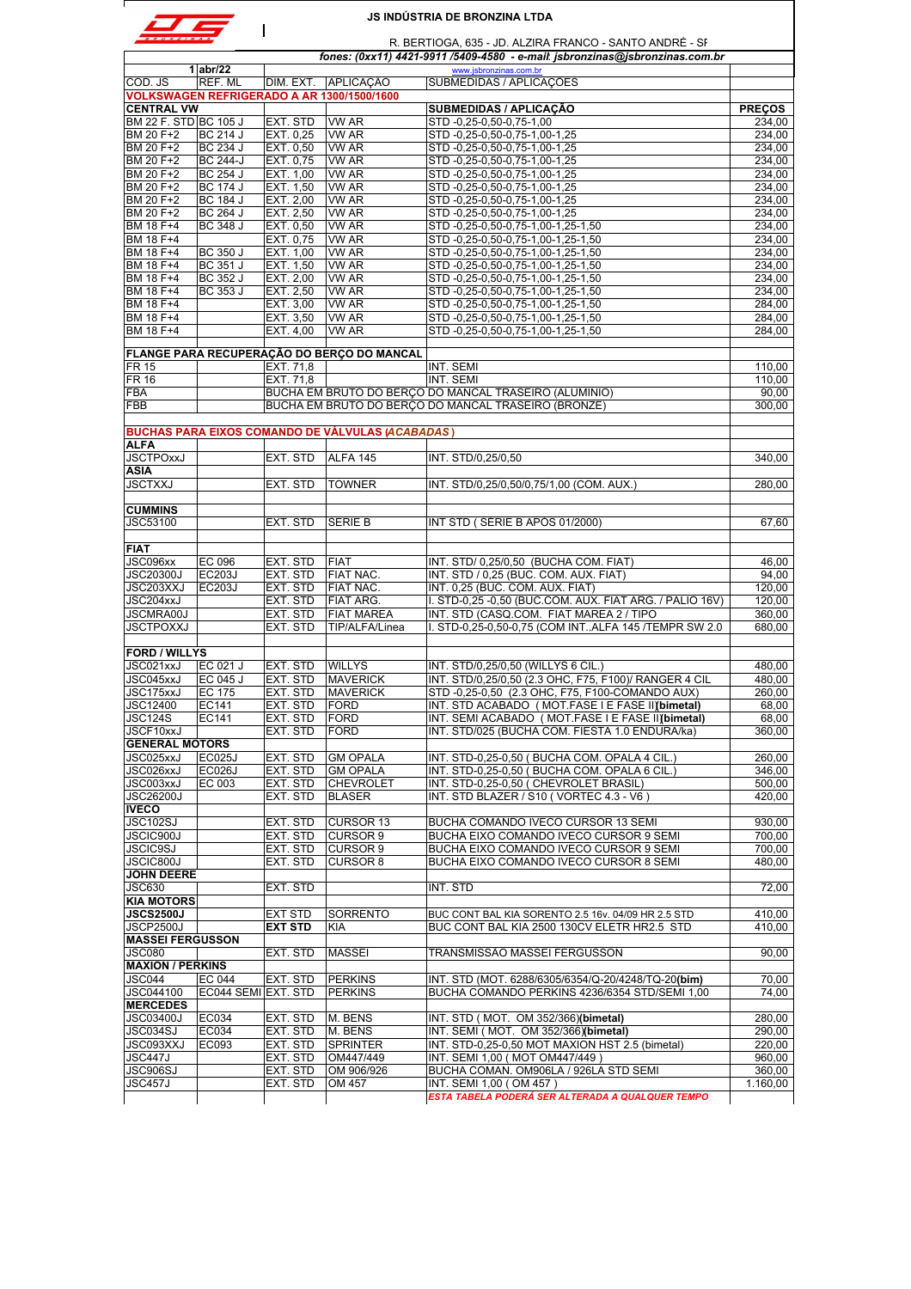|                                      |                                    |                        |                                                                   | <b>JS INDÚSTRIA DE BRONZINA LTDA</b>                                                                                                    |                  |
|--------------------------------------|------------------------------------|------------------------|-------------------------------------------------------------------|-----------------------------------------------------------------------------------------------------------------------------------------|------------------|
|                                      |                                    |                        |                                                                   | R. BERTIOGA, 635 - JD. ALZIRA FRANCO - SANTO ANDRÉ - SF<br>fones: (0xx11) 4421-9911 /5409-4580 - e-mail: jsbronzinas@jsbronzinas.com.br |                  |
|                                      | $1$ abr/22                         |                        |                                                                   | www.jsbronzinas.com.br                                                                                                                  |                  |
| COD. JS                              | REF. ML                            |                        | DIM. EXT. APLICAÇÃO<br>VOLKSWAGEN REFRIGERADO A AR 1300/1500/1600 | SUBMEDIDAS / APLICAÇÕES                                                                                                                 |                  |
| <b>CENTRAL VW</b>                    |                                    |                        |                                                                   | <b>SUBMEDIDAS / APLICAÇÃO</b>                                                                                                           | <b>PRECOS</b>    |
| BM 22 F. STD BC 105 J                |                                    | EXT. STD               | VW AR                                                             | STD -0,25-0,50-0,75-1,00                                                                                                                | 234,00           |
| BM 20 F+2                            | <b>BC 214 J</b>                    | EXT. 0,25              | VW AR                                                             | STD -0,25-0,50-0,75-1,00-1,25                                                                                                           | 234,00           |
| BM 20 F+2                            | <b>BC 234 J</b>                    | EXT. 0.50              | <b>VW AR</b><br><b>VW AR</b>                                      | STD -0,25-0,50-0,75-1,00-1,25<br>STD-0,25-0,50-0,75-1,00-1,25                                                                           | 234.00<br>234.00 |
| BM 20 F+2<br>BM 20 F+2               | <b>BC 244-J</b><br><b>BC 254 J</b> | EXT. 0,75<br>EXT. 1,00 | <b>VW AR</b>                                                      | STD -0,25-0,50-0,75-1,00-1,25                                                                                                           | 234,00           |
| BM 20 F+2                            | <b>BC 174 J</b>                    | EXT. 1.50              | <b>VW AR</b>                                                      | STD-0.25-0.50-0.75-1.00-1.25                                                                                                            | 234,00           |
| BM 20 F+2                            | <b>BC 184 J</b>                    | EXT. 2,00              | <b>VW AR</b>                                                      | STD -0,25-0,50-0,75-1,00-1,25                                                                                                           | 234,00           |
| BM 20 F+2                            | <b>BC 264 J</b>                    | EXT. 2,50              | VW AR                                                             | STD -0,25-0,50-0,75-1,00-1,25                                                                                                           | 234,00           |
| BM 18 F+4                            | BC 348 J                           | EXT. 0.50              | <b>VW AR</b>                                                      | STD -0,25-0,50-0,75-1,00-1,25-1,50                                                                                                      | 234,00           |
| BM 18 F+4                            |                                    | EXT. 0,75              | VW AR                                                             | STD-0,25-0,50-0,75-1,00-1,25-1,50                                                                                                       | 234,00           |
| BM 18 F+4<br>BM 18 F+4               | <b>BC 350 J</b><br><b>BC 351 J</b> | EXT. 1,00<br>EXT. 1,50 | <b>VW AR</b><br>VW AR                                             | STD-0,25-0,50-0,75-1,00-1,25-1,50<br>STD -0,25-0,50-0,75-1,00-1,25-1,50                                                                 | 234,00<br>234.00 |
| BM 18 F+4                            | BC 352 J                           | EXT. 2,00              | <b>VW AR</b>                                                      | STD-0,25-0,50-0,75-1,00-1,25-1,50                                                                                                       | 234,00           |
| BM 18 F+4                            | BC 353 J                           | EXT. 2,50              | VW AR                                                             | STD -0,25-0,50-0,75-1,00-1,25-1,50                                                                                                      | 234,00           |
| BM 18 F+4                            |                                    | EXT. 3,00              | VW AR                                                             | STD -0,25-0,50-0,75-1,00-1,25-1,50                                                                                                      | 284,00           |
| BM 18 F+4                            |                                    | EXT. 3,50              | <b>VW AR</b>                                                      | STD -0,25-0,50-0,75-1,00-1,25-1,50                                                                                                      | 284.00           |
| BM 18 F+4                            |                                    | EXT. 4,00              | <b>VW AR</b>                                                      | STD -0,25-0,50-0,75-1,00-1,25-1,50                                                                                                      | 284,00           |
|                                      |                                    |                        | FLANGE PARA RECUPERAÇÃO DO BERÇO DO MANCAL                        |                                                                                                                                         |                  |
| <b>FR 15</b>                         |                                    | EXT. 71,8              |                                                                   | INT. SEMI                                                                                                                               | 110,00           |
| <b>FR 16</b>                         |                                    | EXT. 71.8              |                                                                   | INT. SEMI                                                                                                                               | 110,00           |
| <b>FBA</b>                           |                                    |                        |                                                                   | BUCHA EM BRUTO DO BERÇO DO MANCAL TRASEIRO (ALUMINIO)                                                                                   | 90.00            |
| FBB                                  |                                    |                        |                                                                   | BUCHA EM BRUTO DO BERÇO DO MANCAL TRASEIRO (BRONZE)                                                                                     | 300.00           |
|                                      |                                    |                        |                                                                   |                                                                                                                                         |                  |
| <b>ALFA</b>                          |                                    |                        | <b>BUCHAS PARA EIXOS COMANDO DE VÁLVULAS (ACABADAS)</b>           |                                                                                                                                         |                  |
| <b>JSCTPOxxJ</b>                     |                                    | EXT. STD               | ALFA 145                                                          | INT. STD/0,25/0,50                                                                                                                      | 340,00           |
| ASIA                                 |                                    |                        |                                                                   |                                                                                                                                         |                  |
| <b>JSCTXXJ</b>                       |                                    | EXT. STD               | <b>TOWNER</b>                                                     | INT. STD/0,25/0,50/0,75/1,00 (COM. AUX.)                                                                                                | 280,00           |
|                                      |                                    |                        |                                                                   |                                                                                                                                         |                  |
| <b>CUMMINS</b>                       |                                    |                        |                                                                   |                                                                                                                                         |                  |
| JSC53100                             |                                    | EXT. STD               | <b>SERIE B</b>                                                    | INT STD (SÉRIE B APÓS 01/2000)                                                                                                          | 67,60            |
| <b>FIAT</b>                          |                                    |                        |                                                                   |                                                                                                                                         |                  |
| JSC096xx                             | <b>EC 096</b>                      | EXT. STD               | <b>FIAT</b>                                                       | INT. STD/ 0,25/0,50 (BUCHA COM. FIAT)                                                                                                   | 46,00            |
| <b>JSC20300J</b>                     | <b>EC203J</b>                      | EXT. STD               | <b>FIAT NAC.</b>                                                  | INT. STD / 0,25 (BUC. COM. AUX. FIAT)                                                                                                   | 94.00            |
| JSC203XXJ                            | <b>EC203J</b>                      | EXT. STD               | <b>FIAT NAC.</b>                                                  | INT. 0,25 (BUC. COM. AUX. FIAT)                                                                                                         | 120,00           |
| JSC204xxJ                            |                                    | EXT. STD               | FIAT ARG.                                                         | I. STD-0,25 -0,50 (BUC.COM. AUX. FIAT ARG. / PALIO 16V)                                                                                 | 120.00           |
| JSCMRA00J                            |                                    | EXT. STD               | <b>FIAT MAREA</b>                                                 | INT. STD (CASQ.COM. FIAT MAREA 2 / TIPO                                                                                                 | 360,00           |
| <b>JSCTPOXXJ</b>                     |                                    | EXT. STD               | TIP/ALFA/Linea                                                    | I. STD-0,25-0,50-0,75 (COM INTALFA 145 /TEMPR SW 2.0                                                                                    | 680.00           |
| <b>FORD / WILLYS</b>                 |                                    |                        |                                                                   |                                                                                                                                         |                  |
| JSC021xxJ                            | EC 021 J                           | EXT. STD               | <b>WILLYS</b>                                                     | INT. STD/0,25/0,50 (WILLYS 6 CIL.)                                                                                                      | 480,00           |
| JSC045xxJ                            | EC 045 J                           | EXT. STD               | <b>MAVERICK</b>                                                   | INT. STD/0,25/0,50 (2.3 OHC, F75, F100)/ RANGER 4 CIL                                                                                   | 480,00           |
| JSC175xxJ                            | <b>EC 175</b>                      | EXI. SID               | <b>IMAVERICK</b>                                                  | STD-0,25-0,50 (2.3 OHC, F75, F100-COMANDO AUX)                                                                                          | 260,00           |
| JSC12400                             | EC141                              | EXT. STD               | <b>FORD</b>                                                       | INT. STD ACABADO (MOT.FASE I E FASE II) (bimetal)                                                                                       | 68,00            |
| <b>JSC124S</b>                       | EC141                              | EXT. STD               | <b>FORD</b>                                                       | INT. SEMI ACABADO (MOT.FASE I E FASE II) (bimetal)                                                                                      | 68,00            |
| JSCF10xxJ<br><b>GENERAL MOTORS</b>   |                                    | EXT. STD               | <b>FORD</b>                                                       | INT. STD/025 (BUCHA COM. FIESTA 1.0 ENDURA/ka)                                                                                          | 360,00           |
| JSC025xxJ                            | <b>EC025J</b>                      | EXT. STD               | <b>GM OPALA</b>                                                   | INT. STD-0,25-0,50 ( BUCHA COM. OPALA 4 CIL.)                                                                                           | 260,00           |
| JSC026xxJ                            | <b>EC026J</b>                      | EXT. STD               | <b>GM OPALA</b>                                                   | INT. STD-0.25-0.50 (BUCHA COM, OPALA 6 CIL.)                                                                                            | 346.00           |
| JSC003xxJ                            | EC 003                             | EXT. STD               | <b>CHEVROLET</b>                                                  | INT. STD-0,25-0,50 ( CHEVROLET BRASIL)                                                                                                  | 500,00           |
| <b>JSC26200J</b>                     |                                    | EXT. STD               | <b>BLASER</b>                                                     | INT. STD BLAZER / S10 (VORTEC 4.3 - V6)                                                                                                 | 420,00           |
| <b>IVECO</b>                         |                                    |                        |                                                                   |                                                                                                                                         |                  |
| <b>JSC102SJ</b>                      |                                    | EXT. STD               | <b>CURSOR 13</b>                                                  | BUCHA COMANDO IVECO CURSOR 13 SEMI                                                                                                      | 930,00           |
| JSCIC900J<br><b>JSCIC9SJ</b>         |                                    | EXT. STD<br>EXT. STD   | <b>CURSOR 9</b><br><b>CURSOR 9</b>                                | BUCHA EIXO COMANDO IVECO CURSOR 9 SEMI<br>BUCHA EIXO COMANDO IVECO CURSOR 9 SEMI                                                        | 700,00<br>700,00 |
| JSCIC800J                            |                                    | EXT. STD               | <b>CURSOR 8</b>                                                   | BUCHA EIXO COMANDO IVECO CURSOR 8 SEMI                                                                                                  | 480.00           |
| <b>JOHN DEERE</b>                    |                                    |                        |                                                                   |                                                                                                                                         |                  |
| <b>JSC630</b>                        |                                    | EXT. STD               |                                                                   | INT. STD                                                                                                                                | 72,00            |
| <b>KIA MOTORS</b>                    |                                    |                        |                                                                   |                                                                                                                                         |                  |
| <b>JSCS2500J</b>                     |                                    | <b>EXT STD</b>         | SORRENTO                                                          | BUC CONT BAL KIA SORENTO 2.5 16v. 04/09 HR 2.5 STD                                                                                      | 410,00           |
| JSCP2500J<br><b>MASSEI FERGUSSON</b> |                                    | <b>EXT STD</b>         | KIA                                                               | BUC CONT BAL KIA 2500 130CV ELETR HR2.5 STD                                                                                             | 410,00           |
| <b>JSC080</b>                        |                                    | EXT. STD               | <b>MASSEI</b>                                                     | TRANSMISSÃO MASSEI FERGUSSON                                                                                                            | 90,00            |
| <b>MAXION / PERKINS</b>              |                                    |                        |                                                                   |                                                                                                                                         |                  |
| <b>JSC044</b>                        | EC 044                             | EXT. STD               | <b>PERKINS</b>                                                    | INT. STD (MOT. 6288/6305/6354/Q-20/4248/TQ-20(bim)                                                                                      | 70,00            |
| JSC044100                            | EC044 SEMI EXT. STD                |                        | <b>PERKINS</b>                                                    | BUCHA COMANDO PERKINS 4236/6354 STD/SEMI 1,00                                                                                           | 74,00            |
| <b>MERCEDES</b>                      |                                    |                        |                                                                   |                                                                                                                                         |                  |
| <b>JSC03400J</b>                     | EC034                              | EXT. STD               | M. BENS                                                           | INT. STD (MOT. OM 352/366)(bimetal)                                                                                                     | 280,00           |
| JSC034SJ                             | EC034                              | EXT. STD               | M. BENS                                                           | INT. SEMI (MOT. OM 352/366)(bimetal)                                                                                                    | 290,00           |
| JSC093XXJ<br>JSC447J                 | EC093                              | EXT. STD<br>EXT. STD   | <b>SPRINTER</b><br>OM447/449                                      | INT. STD-0,25-0,50 MOT MAXION HST 2.5 (bimetal)<br>INT. SEMI 1,00 (MOT OM447/449 )                                                      | 220,00<br>960,00 |
| JSC906SJ                             |                                    | EXT. STD               | OM 906/926                                                        | BUCHA COMAN. OM906LA / 926LA STD SEMI                                                                                                   | 360,00           |
| JSC457J                              |                                    | EXT. STD               | OM 457                                                            | INT. SEMI 1,00 (OM 457)                                                                                                                 | 1.160,00         |
|                                      |                                    |                        |                                                                   | ESTA TABELA PODERÁ SER ALTERADA A QUALQUER TEMPO                                                                                        |                  |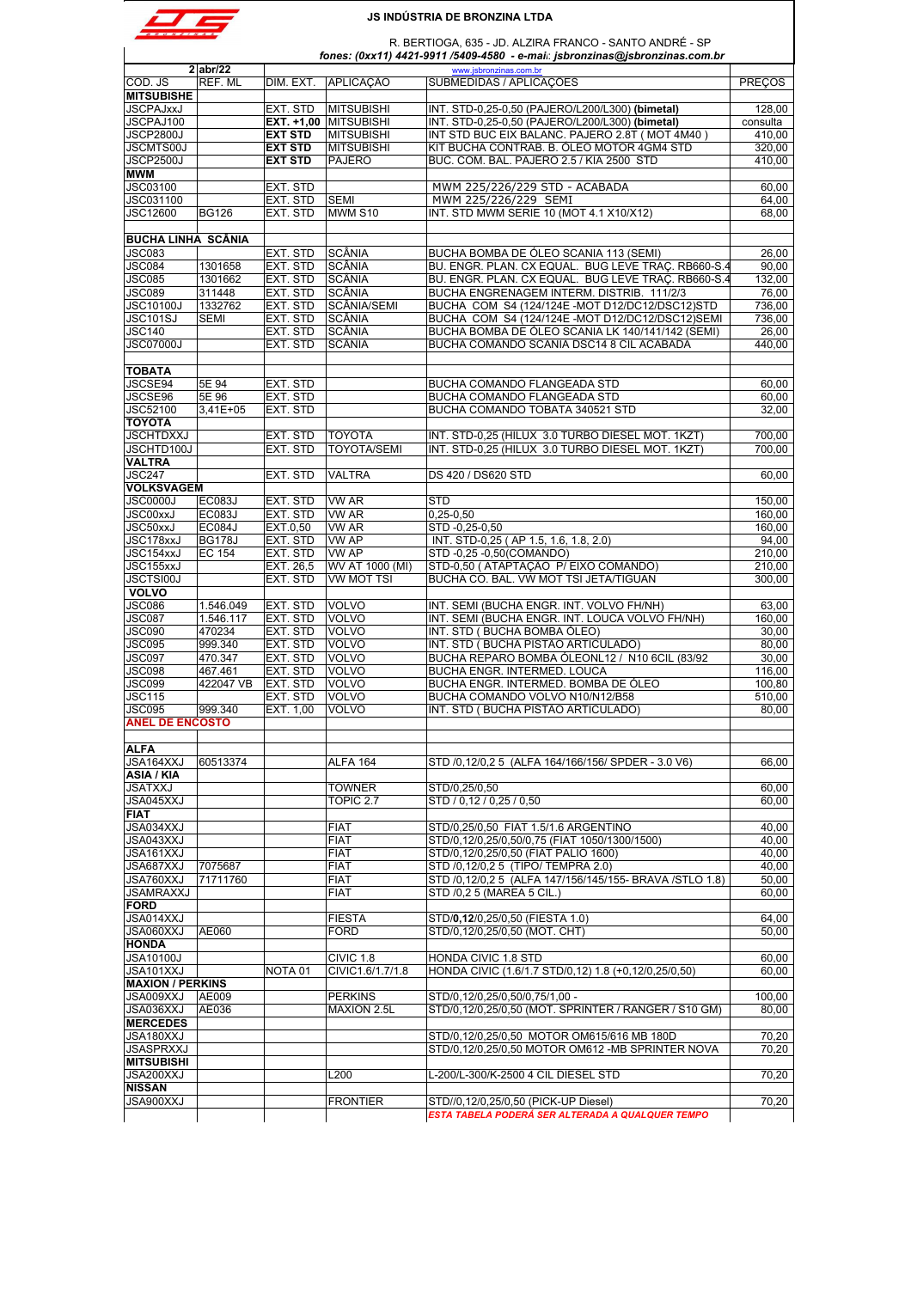

R. BERTIOGA, 635 - JD. ALZIRA FRANCO - SANTO ANDRÉ - SP

|                                                                                                                                                                                                 |               |                    |                       | fones: (0xx11) 4421-9911 /5409-4580 - e-mai : jsbronzinas@jsbronzinas.com.br |                                                     |
|-------------------------------------------------------------------------------------------------------------------------------------------------------------------------------------------------|---------------|--------------------|-----------------------|------------------------------------------------------------------------------|-----------------------------------------------------|
|                                                                                                                                                                                                 | $2$ abr/22    |                    |                       | www.jsbronzinas.com.br                                                       |                                                     |
| COD. JS<br><b>MITSUBISHE</b>                                                                                                                                                                    | REF. ML       | DIM. EXT.          | <b>APLICAÇÃO</b>      | SUBMEDIDAS / APLICAÇÕES                                                      | <b>PRECOS</b>                                       |
| <b>JSCPAJxxJ</b>                                                                                                                                                                                |               | EXT. STD           | <b>MITSUBISHI</b>     | INT. STD-0,25-0,50 (PAJERO/L200/L300) (bimetal)                              | 128,00                                              |
| JSCPAJ100                                                                                                                                                                                       |               |                    | EXT. +1,00 MITSUBISHI | INT. STD-0,25-0,50 (PAJERO/L200/L300) (bimetal)                              | consulta                                            |
| <b>JSCP2800J</b>                                                                                                                                                                                |               | <b>EXT STD</b>     | <b>MITSUBISHI</b>     | INT STD BUC EIX BALANC. PAJERO 2.8T (MOT 4M40)                               | 410,00                                              |
| <b>JSCMTS00J</b>                                                                                                                                                                                |               | <b>EXT STD</b>     | <b>MITSUBISHI</b>     | KIT BUCHA CONTRAB. B. ÓLEO MOTOR 4GM4 STD                                    | 320,00                                              |
| <b>JSCP2500J</b>                                                                                                                                                                                |               | <b>EXT STD</b>     | <b>PAJERO</b>         | BUC. COM. BAL. PAJERO 2.5 / KIA 2500 STD                                     | 410,00                                              |
|                                                                                                                                                                                                 |               |                    |                       |                                                                              |                                                     |
| <b>MWM</b>                                                                                                                                                                                      |               |                    |                       |                                                                              |                                                     |
| <b>JSC03100</b>                                                                                                                                                                                 |               | EXT. STD           |                       | MWM 225/226/229 STD - ACABADA                                                | 60,00                                               |
| JSC031100                                                                                                                                                                                       |               | EXT. STD           | <b>SEMI</b>           | MWM 225/226/229 SEMI                                                         | 64,00                                               |
| <b>JSC12600</b>                                                                                                                                                                                 | <b>BG126</b>  | EXT. STD           | MWM S10               | INT. STD MWM SERIE 10 (MOT 4.1 X10/X12)                                      | 68,00                                               |
| <b>BUCHA LINHA SCÂNIA</b>                                                                                                                                                                       |               |                    |                       |                                                                              |                                                     |
| <b>JSC083</b>                                                                                                                                                                                   |               | EXT. STD           | SCÂNIA                | BUCHA BOMBA DE ÓLEO SCANIA 113 (SEMI)                                        | 26,00                                               |
| JSC084                                                                                                                                                                                          | 1301658       | EXT. STD           | <b>SCÂNIA</b>         | BU. ENGR. PLAN. CX EQUAL. BUG LEVE TRAÇ. RB660-S.4                           | 90.00                                               |
| <b>JSC085</b>                                                                                                                                                                                   | 1301662       | EXT. STD           | SCÂNIA                | BU. ENGR. PLAN. CX EQUAL. BUG LEVE TRAÇ. RB660-S.4                           | 132,00                                              |
| JSC089                                                                                                                                                                                          | 311448        | EXT. STD           | SCÂNIA                | BUCHA ENGRENAGEM INTERM. DISTRIB. 111/2/3                                    | 76,00                                               |
| <b>JSC10100J</b>                                                                                                                                                                                | 1332762       | EXT. STD           | <b>SCÂNIA/SEMI</b>    | BUCHA COM S4 (124/124E-MOT D12/DC12/DSC12)STD                                | 736,00                                              |
| JSC101SJ                                                                                                                                                                                        | <b>SEMI</b>   | EXT. STD           | SCÂNIA                | BUCHA COM S4 (124/124E-MOT D12/DC12/DSC12)SEMI                               | 736,00                                              |
|                                                                                                                                                                                                 |               |                    |                       |                                                                              |                                                     |
| <b>JSC140</b>                                                                                                                                                                                   |               | EXT. STD           | SCÂNIA                | BUCHA BOMBA DE ÓLEO SCANIA LK 140/141/142 (SEMI)                             | 26,00                                               |
| JSC07000J                                                                                                                                                                                       |               | EXT. STD           | SCÂNIA                | BUCHA COMANDO SCANIA DSC14 8 CIL ACABADA                                     | 440,00                                              |
| <b>TOBATA</b>                                                                                                                                                                                   |               |                    |                       |                                                                              |                                                     |
| JSCSE94                                                                                                                                                                                         | 5E 94         | EXT. STD           |                       | BUCHA COMANDO FLANGEADA STD                                                  | 60,00                                               |
| JSCSE96                                                                                                                                                                                         | 5E 96         | EXT. STD           |                       | <b>BUCHA COMANDO FLANGEADA STD</b>                                           | 60,00                                               |
| <b>JSC52100</b>                                                                                                                                                                                 | $3,41E+05$    | EXT. STD           |                       | BUCHA COMANDO TOBATA 340521 STD                                              | 32,00                                               |
| <b>TOYOTA</b>                                                                                                                                                                                   |               |                    |                       |                                                                              |                                                     |
|                                                                                                                                                                                                 |               |                    |                       |                                                                              |                                                     |
| <b>JSCHTDXXJ</b>                                                                                                                                                                                |               | EXT. STD           | <b>TOYOTA</b>         | INT. STD-0,25 (HILUX 3.0 TURBO DIESEL MOT. 1KZT)                             | 700.00                                              |
| JSCHTD100J                                                                                                                                                                                      |               | EXT. STD           | <b>TOYOTA/SEMI</b>    | INT. STD-0,25 (HILUX 3.0 TURBO DIESEL MOT. 1KZT)                             | 700,00                                              |
| <b>VALTRA</b>                                                                                                                                                                                   |               |                    |                       |                                                                              |                                                     |
| <b>JSC247</b>                                                                                                                                                                                   |               | EXT. STD           | <b>VALTRA</b>         | DS 420 / DS620 STD                                                           | 60,00                                               |
| <b>VOLKSVAGEM</b>                                                                                                                                                                               |               |                    |                       |                                                                              |                                                     |
| JSC0000J                                                                                                                                                                                        | <b>EC083J</b> | EXT. STD           | <b>VW AR</b>          | <b>STD</b>                                                                   | 150,00                                              |
| <b>JSC00xxJ</b>                                                                                                                                                                                 | EC083J        | EXT. STD           | <b>VW AR</b>          | $0,25 - 0,50$                                                                | 160.00                                              |
| JSC50xxJ                                                                                                                                                                                        | <b>EC084J</b> | EXT.0,50           | <b>VW AR</b>          | STD -0,25-0,50                                                               | 160,00                                              |
| JSC178xxJ                                                                                                                                                                                       | <b>BG178J</b> | EXT. STD           | <b>VW AP</b>          | INT. STD-0,25 (AP 1.5, 1.6, 1.8, 2.0)                                        | 94,00                                               |
| JSC154xxJ                                                                                                                                                                                       | <b>EC 154</b> | EXT. STD           | <b>VW AP</b>          | STD -0,25 -0,50(COMANDO)                                                     | 210,00                                              |
|                                                                                                                                                                                                 |               |                    | WV AT 1000 (MI)       | STD-0,50 (ATAPTAÇÃO P/EIXO COMANDO)                                          | 210,00                                              |
| JSC155xxJ                                                                                                                                                                                       |               | EXT. 26,5          |                       |                                                                              |                                                     |
| <b>JSCTSI00J</b>                                                                                                                                                                                |               | EXT. STD           | <b>VW MOT TSI</b>     | BUCHA CO. BAL. VW MOT TSI JETA/TIGUAN                                        | 300,00                                              |
| <b>VOLVO</b>                                                                                                                                                                                    |               |                    |                       |                                                                              |                                                     |
| JSC086                                                                                                                                                                                          | 1.546.049     | EXT. STD           | <b>VOLVO</b>          | INT. SEMI (BUCHA ENGR. INT. VOLVO FH/NH)                                     | 63,00                                               |
| <b>JSC087</b>                                                                                                                                                                                   | 1.546.117     | EXT. STD           | <b>VOLVO</b>          | INT. SEMI (BUCHA ENGR. INT. LOUCA VOLVO FH/NH)                               | 160,00                                              |
| JSC090                                                                                                                                                                                          | 470234        | EXT. STD           | <b>VOLVO</b>          | INT. STD (BUCHA BOMBA ÓLEO)                                                  | 30,00                                               |
| JSC095                                                                                                                                                                                          | 999.340       | EXT. STD           | <b>VOLVO</b>          | INT. STD (BUCHA PISTÃO ARTICULADO)                                           | 80,00                                               |
| JSC097                                                                                                                                                                                          | 470.347       | EXT. STD           | VOLVO                 | BUCHA REPARO BOMBA ÓLEONL12 / N10 6CIL (83/92                                | 30,00                                               |
| <b>JSC098</b>                                                                                                                                                                                   | 467.461       | EXT. STD           | VOLVO                 | BUCHA ENGR. INTERMED. LOUCA                                                  | 116,00                                              |
| JSC099                                                                                                                                                                                          | 422047 VB     | EXT. STD           | <b>VOLVO</b>          | BUCHA ENGR. INTERMED. BOMBA DE ÓLEO                                          | 100,80                                              |
| <b>JSC115</b>                                                                                                                                                                                   |               | EXT. STD           | <b>VOLVO</b>          | BUCHA COMANDO VOLVO N10/N12/B58                                              | 510,00                                              |
| JSC095                                                                                                                                                                                          | 999.340       | EXT. 1.00          | <b>VOLVO</b>          | INT. STD (BUCHA PISTÃO ARTICULADO)                                           | 80,00                                               |
| <b>ANEL DE ENCOSTO</b>                                                                                                                                                                          |               |                    |                       |                                                                              |                                                     |
|                                                                                                                                                                                                 |               |                    |                       |                                                                              |                                                     |
| <b>ALFA</b>                                                                                                                                                                                     |               |                    |                       |                                                                              |                                                     |
| JSA164XXJ                                                                                                                                                                                       | 60513374      |                    | ALFA 164              | STD /0,12/0,25 (ALFA 164/166/156/ SPDER - 3.0 V6)                            | 66,00                                               |
| ASIA / KIA                                                                                                                                                                                      |               |                    |                       |                                                                              |                                                     |
| JSATXXJ                                                                                                                                                                                         |               |                    | <b>TOWNER</b>         | STD/0,25/0,50                                                                | 60,00                                               |
| JSA045XXJ                                                                                                                                                                                       |               |                    | TOPIC <sub>2.7</sub>  | STD / 0,12 / 0,25 / 0,50                                                     | 60,00                                               |
| <b>FIAT</b>                                                                                                                                                                                     |               |                    |                       |                                                                              |                                                     |
| JSA034XXJ                                                                                                                                                                                       |               |                    | <b>FIAT</b>           | STD/0,25/0,50 FIAT 1.5/1.6 ARGENTINO                                         | 40,00                                               |
| JSA043XXJ                                                                                                                                                                                       |               |                    | <b>FIAT</b>           | STD/0,12/0,25/0,50/0,75 (FIAT 1050/1300/1500)                                | 40,00                                               |
| JSA161XXJ                                                                                                                                                                                       |               |                    | <b>FIAT</b>           | STD/0,12/0,25/0,50 (FIAT PALIO 1600)                                         | 40,00                                               |
| JSA687XXJ                                                                                                                                                                                       | 7075687       |                    | <b>FIAT</b>           | STD /0,12/0,2 5 (TIPO/ TEMPRA 2.0)                                           | 40,00                                               |
| JSA760XXJ                                                                                                                                                                                       | 71711760      |                    | <b>FIAT</b>           | STD /0,12/0,2 5 (ALFA 147/156/145/155- BRAVA /STLO 1.8)                      | 50,00                                               |
| JSAMRAXXJ                                                                                                                                                                                       |               |                    | <b>FIAT</b>           | STD /0,2 5 (MAREA 5 CIL.)                                                    | 60,00                                               |
|                                                                                                                                                                                                 |               |                    |                       |                                                                              |                                                     |
|                                                                                                                                                                                                 |               |                    | <b>FIESTA</b>         | STD/0,12/0,25/0,50 (FIESTA 1.0)                                              | 64,00                                               |
|                                                                                                                                                                                                 |               |                    |                       |                                                                              | 50.00                                               |
|                                                                                                                                                                                                 |               |                    |                       |                                                                              |                                                     |
|                                                                                                                                                                                                 | AE060         |                    | <b>FORD</b>           | STD/0,12/0,25/0,50 (MOT. CHT)                                                |                                                     |
|                                                                                                                                                                                                 |               |                    |                       |                                                                              |                                                     |
|                                                                                                                                                                                                 |               |                    | CIVIC 1.8             | HONDA CIVIC 1.8 STD                                                          |                                                     |
|                                                                                                                                                                                                 |               | NOTA <sub>01</sub> | CIVIC1.6/1.7/1.8      | HONDA CIVIC (1.6/1.7 STD/0,12) 1.8 (+0,12/0,25/0,50)                         |                                                     |
|                                                                                                                                                                                                 |               |                    |                       |                                                                              |                                                     |
|                                                                                                                                                                                                 | AE009         |                    | <b>PERKINS</b>        | STD/0,12/0,25/0,50/0,75/1,00 -                                               |                                                     |
|                                                                                                                                                                                                 | AE036         |                    | MAXION 2.5L           | STD/0,12/0,25/0,50 (MOT. SPRINTER / RANGER / S10 GM)                         |                                                     |
|                                                                                                                                                                                                 |               |                    |                       |                                                                              |                                                     |
|                                                                                                                                                                                                 |               |                    |                       |                                                                              |                                                     |
|                                                                                                                                                                                                 |               |                    |                       | STD/0,12/0,25/0,50 MOTOR OM615/616 MB 180D                                   |                                                     |
|                                                                                                                                                                                                 |               |                    |                       | STD/0,12/0,25/0,50 MOTOR OM612 -MB SPRINTER NOVA                             | 60,00<br>60,00<br>100,00<br>80,00<br>70,20<br>70,20 |
| FORD<br>JSA014XXJ<br>JSA060XXJ<br><b>HONDA</b><br>JSA10100J<br>JSA101XXJ<br><b>MAXION / PERKINS</b><br>JSA009XXJ<br>JSA036XXJ<br><b>MERCEDES</b><br>JSA180XXJ<br>JSASPRXXJ<br><b>MITSUBISHI</b> |               |                    |                       |                                                                              |                                                     |
| JSA200XXJ                                                                                                                                                                                       |               |                    | L200                  | L-200/L-300/K-2500 4 CIL DIESEL STD                                          | 70,20                                               |
| <b>NISSAN</b><br>JSA900XXJ                                                                                                                                                                      |               |                    | <b>FRONTIER</b>       | STD//0,12/0,25/0,50 (PICK-UP Diesel)                                         | 70,20                                               |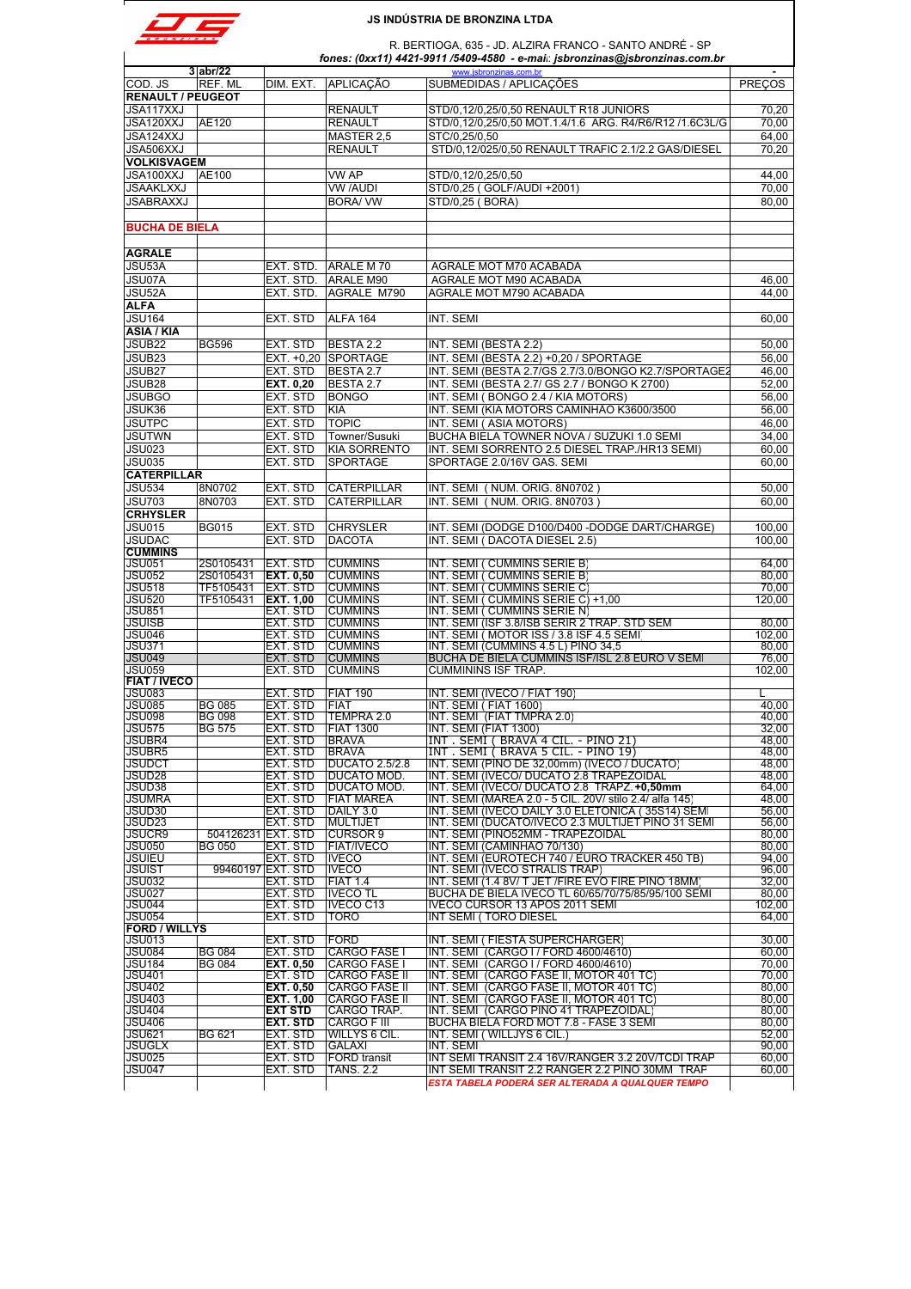|  | RONZINA |  |
|--|---------|--|

a sa

# **JS INDÚSTRIA DE BRONZINA LTDA**

R. BERTIOGA, 635 - JD. ALZIRA FRANCO - SANTO ANDRÉ - SP

|                                       |                              |                                     |                                            | R. BERTIOGA, 635 - JD. ALZIRA FRANCO - SANTO ANDRE - SP<br>fones: (0xx11) 4421-9911 /5409-4580 - e-mai: jsbronzinas@jsbronzinas.com.br |                 |
|---------------------------------------|------------------------------|-------------------------------------|--------------------------------------------|----------------------------------------------------------------------------------------------------------------------------------------|-----------------|
|                                       | $3$ abr/22                   |                                     |                                            | www.jsbronzinas.com.br                                                                                                                 |                 |
| COD. JS                               | REF. ML                      | DIM. EXT.                           | <b>APLICACÃO</b>                           | SUBMEDIDAS / APLICAÇÕES                                                                                                                | <b>PRECOS</b>   |
| <b>RENAULT / PEUGEOT</b><br>JSA117XXJ |                              |                                     | <b>RENAULT</b>                             | STD/0,12/0,25/0,50 RENAULT R18 JUNIORS                                                                                                 | 70,20           |
| JSA120XXJ                             | AE120                        |                                     | <b>RENAULT</b>                             | STD/0,12/0,25/0,50 MOT.1.4/1.6 ARG. R4/R6/R12 /1.6C3L/G                                                                                | 70,00           |
| JSA124XXJ                             |                              |                                     | MASTER 2,5                                 | STC/0.25/0.50                                                                                                                          | 64,00           |
| JSA506XXJ                             |                              |                                     | <b>RENAULT</b>                             | STD/0,12/025/0,50 RENAULT TRAFIC 2.1/2.2 GAS/DIESEL                                                                                    | 70,20           |
| <b>VOLKISVAGEM</b>                    |                              |                                     |                                            |                                                                                                                                        |                 |
| JSA100XXJ                             | AE100                        |                                     | VW AP                                      | STD/0,12/0,25/0,50                                                                                                                     | 44,00           |
| <b>JSAAKLXXJ</b>                      |                              |                                     | <b>VW /AUDI</b>                            | STD/0,25 (GOLF/AUDI +2001)                                                                                                             | 70,00           |
| JSABRAXXJ                             |                              |                                     | <b>BORA/VW</b>                             | STD/0,25 (BORA)                                                                                                                        | 80,00           |
|                                       |                              |                                     |                                            |                                                                                                                                        |                 |
| <b>BUCHA DE BIELA</b>                 |                              |                                     |                                            |                                                                                                                                        |                 |
|                                       |                              |                                     |                                            |                                                                                                                                        |                 |
| <b>AGRALE</b>                         |                              |                                     |                                            |                                                                                                                                        |                 |
| JSU53A                                |                              | EXT. STD.                           | ARALE M 70                                 | AGRALE MOT M70 ACABADA                                                                                                                 |                 |
| JSU07A                                |                              | EXT. STD.                           | ARALE M90                                  | AGRALE MOT M90 ACABADA                                                                                                                 | 46,00           |
| JSU52A                                |                              | EXT. STD.                           | AGRALE M790                                | AGRALE MOT M790 ACABADA                                                                                                                | 44,00           |
| <b>ALFA</b>                           |                              |                                     |                                            |                                                                                                                                        |                 |
| <b>JSU164</b>                         |                              | EXT. STD                            | ALFA 164                                   | INT. SEMI                                                                                                                              | 60,00           |
| <b>ASIA / KIA</b>                     |                              |                                     |                                            |                                                                                                                                        |                 |
| JSUB22                                | <b>BG596</b>                 | EXT. STD                            | BESTA 2.2                                  | INT. SEMI (BESTA 2.2)                                                                                                                  | 50,00           |
| JSUB <sub>23</sub><br>JSUB27          |                              | EXT. +0,20<br>EXT. STD              | <b>SPORTAGE</b><br>BESTA 2.7               | INT. SEMI (BESTA 2.2) +0,20 / SPORTAGE<br>INT. SEMI (BESTA 2.7/GS 2.7/3.0/BONGO K2.7/SPORTAGE2                                         | 56,00<br>46,00  |
| JSUB28                                |                              | EXT. 0,20                           | BESTA 2.7                                  | INT. SEMI (BESTA 2.7/ GS 2.7 / BONGO K 2700)                                                                                           | 52,00           |
| <b>JSUBGO</b>                         |                              | EXT. STD                            | <b>BONGO</b>                               | INT. SEMI (BONGO 2.4 / KIA MOTORS)                                                                                                     | 56,00           |
| JSUK36                                |                              | EXT. STD                            | <b>KIA</b>                                 | INT. SEMI (KIA MOTORS CAMINHÃO K3600/3500                                                                                              | 56,00           |
| <b>JSUTPC</b>                         |                              | EXT. STD                            | <b>TOPIC</b>                               | INT. SEMI (ASIA MOTORS)                                                                                                                | 46,00           |
| <b>JSUTWN</b>                         |                              | EXT. STD                            | Towner/Susuki                              | BUCHA BIELA TOWNER NOVA / SUZUKI 1.0 SEMI                                                                                              | 34,00           |
| <b>JSU023</b>                         |                              | EXT. STD                            | <b>KIA SORRENTO</b>                        | INT. SEMI SORRENTO 2.5 DIESEL TRAP./HR13 SEMI)                                                                                         | 60,00           |
| <b>JSU035</b>                         |                              | EXT. STD                            | <b>SPORTAGE</b>                            | SPORTAGE 2.0/16V GAS. SEMI                                                                                                             | 60.00           |
| <b>CATERPILLAR</b>                    |                              |                                     |                                            |                                                                                                                                        |                 |
| <b>JSU534</b>                         | 8N0702                       | EXT. STD                            | <b>CATERPILLAR</b>                         | INT. SEMI (NUM. ORIG. 8N0702)                                                                                                          | 50,00           |
| <b>JSU703</b>                         | 8N0703                       | EXT. STD                            | <b>CATERPILLAR</b>                         | INT. SEMI ( NUM. ORIG. 8N0703 )                                                                                                        | 60.00           |
| <b>CRHYSLER</b>                       |                              |                                     |                                            |                                                                                                                                        |                 |
| <b>JSU015</b>                         | <b>BG015</b>                 | EXT. STD                            | <b>CHRYSLER</b>                            | INT. SEMI (DODGE D100/D400 -DODGE DART/CHARGE)                                                                                         | 100,00          |
| <b>JSUDAC</b>                         |                              | EXT. STD                            | <b>DACOTA</b>                              | INT. SEMI (DACOTA DIESEL 2.5)                                                                                                          | 100.00          |
| <b>CUMMINS</b>                        |                              |                                     |                                            |                                                                                                                                        |                 |
| <b>JSU051</b><br><b>JSU052</b>        | 2S0105431<br>2S0105431       | <b>EXT. STD</b>                     | <b>CUMMINS</b><br><b>CUMMINS</b>           | INT. SEMI ( CUMMINS SERIE B)                                                                                                           | 64,00<br>80.00  |
| <b>JSU518</b>                         | TF5105431                    | <b>EXT. 0,50</b><br><b>EXT. STD</b> | <b>CUMMINS</b>                             | INT. SEMI ( CUMMINS SERIE B)<br>INT. SEMI ( CUMMINS SERIE C)                                                                           | 70,00           |
| <b>JSU520</b>                         | TF5105431                    | <b>EXT. 1,00</b>                    | <b>CUMMINS</b>                             | INT. SEMI ( CUMMINS SERIE C) +1,00                                                                                                     | 120,00          |
| <b>JSU851</b>                         |                              | EXT. STD                            | <b>CUMMINS</b>                             | INT. SEMI ( CUMMINS SERIE N)                                                                                                           |                 |
| <b>JSUISB</b>                         |                              | EXT. STD                            | <b>CUMMINS</b>                             | INT. SEMI (ISF 3.8/ISB SERIR 2 TRAP. STD SEM                                                                                           | 80,00           |
| <b>JSU046</b>                         |                              | EXT. STD                            | <b>CUMMINS</b>                             | INT. SEMI (MOTOR ISS / 3.8 ISF 4.5 SEMI                                                                                                | 102,00          |
| <b>JSU371</b>                         |                              | EXT. STD                            | <b>CUMMINS</b>                             | INT. SEMI (CUMMINS 4.5 L) PINO 34,5                                                                                                    | 80,00           |
| <b>JSU049</b><br><b>JSU059</b>        |                              | EXT. STD<br>EXT. STD                | <b>CUMMINS</b><br><b>CUMMINS</b>           | BUCHA DE BIELA CUMMINS ISF/ISL 2.8 EURO V SEMI<br><b>CUMMININS ISF TRAP.</b>                                                           | 76.00<br>102,00 |
| <b>FIAT / IVECO</b>                   |                              |                                     |                                            |                                                                                                                                        |                 |
| JSU083                                |                              | EXT. STD                            | <b>FIAT 190</b>                            | INT. SEMI (IVECO / FIAT 190)                                                                                                           |                 |
| <b>JSU085</b>                         | <b>BG 085</b>                | EXT. STD                            | <b>FIAT</b>                                | INT. SEMI (FIAT 1600)                                                                                                                  | 40,00           |
| <b>JSU098</b>                         | <b>BG 098</b>                | EXT. STD                            | TEMPRA 2.0                                 | INT. SEMI (FIAT TMPRA 2.0)                                                                                                             | 40,00           |
| <b>JSU575</b>                         | <b>BG 575</b>                | <b>EXT. STD</b>                     | <b>FIAT 1300</b>                           | INT. SEMI (FIAT 1300)                                                                                                                  | 32.00           |
| <b>JSUBR4</b><br>JSUBR5               |                              | EXT. STD                            | <b>BRAVA</b>                               | INT . SEMI ( BRAVA 4 CIL. - PINO 21)<br>INT. SEMI (BRAVA 5 CIL. - PINO 19)                                                             | 48,00<br>48.00  |
| <b>JSUDCT</b>                         |                              | EXT. STD<br>EXT. STD                | <b>BRAVA</b><br><b>DUCATO 2.5/2.8</b>      | INT. SEMI (PINO DE 32,00mm) (IVECO / DUCATO)                                                                                           | 48,00           |
| JSUD <sub>28</sub>                    |                              | EXT. STD                            | DUCATO MOD.                                | INT. SEMI (IVECO/ DUCATO 2.8 TRAPEZOIDAL                                                                                               | 48,00           |
| JSUD38                                |                              | EXT. STD                            | DUCATO MOD.                                | INT. SEMI (IVECO/ DUCATO 2.8 TRAPZ. +0,50mm                                                                                            | 64,00           |
| <b>JSUMRA</b>                         |                              | EXT. STD                            | <b>FIAT MAREA</b>                          | INT. SEMI (MAREA 2.0 - 5 CIL. 20V/ stilo 2.4/ alfa 145)                                                                                | 48,00           |
| JSUD30                                |                              | EXT. STD                            | DAILY 3.0                                  | INT. SEMI (IVECO DAILY 3.0 ELETONICA (35S14) SEMI                                                                                      | 56,00           |
| JSUD <sub>23</sub>                    |                              | EXT. STD                            | <b>MULTIJET</b>                            | INT. SEMI (DUCATO/IVECO 2.3 MULTIJET PINO 31 SEMI                                                                                      | 56,00           |
| JSUCR9<br><b>JSU050</b>               | 504126231 EXT. STD<br>BG 050 | EXT. STD                            | <b>CURSOR 9</b><br><b>FIAT/IVECO</b>       | INT. SEMI (PINO52MM - TRAPEZOIDAL<br>INT. SEMI (CAMINHAO 70/130)                                                                       | 80,00<br>80,00  |
| <b>JSUIEU</b>                         |                              | EXT. STD                            | <b>IVECO</b>                               | INT. SEMI (EUROTECH 740 / EURO TRACKER 450 TB)                                                                                         | 94,00           |
| <b>JSUIST</b>                         |                              | 99460197 EXT. STD                   | <b>IVECO</b>                               | INT. SEMI (IVECO STRALIS TRAP)                                                                                                         | 96,00           |
| <b>JSU032</b>                         |                              | EXT. STD                            | <b>FIAT 1.4</b>                            | INT. SEMI (1.4 8V/ T JET / FIRE EVO FIRE PINO 18MM                                                                                     | 32.00           |
| <b>JSU027</b>                         |                              | EXT. STD                            | <b>IVECO TL</b>                            | BUCHA DE BIELA IVECO TL 60/65/70/75/85/95/100 SEMI                                                                                     | 80,00           |
| <b>JSU044</b><br><b>JSU054</b>        |                              | EXT. STD                            | IVECO C13                                  | IVECO CURSOR 13 APOS 2011 SEMI<br><b>INT SEMI (TORO DIESEL</b>                                                                         | 102,00          |
| <b>FORD / WILLYS</b>                  |                              | EXT. STD                            | TORO                                       |                                                                                                                                        | 64,00           |
| <b>JSU013</b>                         |                              | EXT. STD                            | <b>FORD</b>                                | INT. SEMI (FIESTA SUPERCHARGER)                                                                                                        | 30,00           |
| <b>JSU084</b>                         | <b>BG 084</b>                | EXT. STD                            | <b>CARGO FASE I</b>                        | INT. SEMI (CARGO I / FORD 4600/4610)                                                                                                   | 60.00           |
| <b>JSU184</b>                         | BG 084                       | EXT. 0.50                           | <b>CARGO FASE I</b>                        | INT. SEMI (CARGO I / FORD 4600/4610)                                                                                                   | 70,00           |
| <b>JSU401</b>                         |                              | EXT. STD                            | <b>CARGO FASE II</b>                       | INT. SEMI (CARGO FASE II, MOTOR 401 TC)                                                                                                | 70,00           |
| <b>JSU402</b>                         |                              | EXT. 0,50                           | <b>CARGO FASE II</b>                       | INT. SEMI (CARGO FASE II, MOTOR 401 TC)                                                                                                | 80,00           |
| <b>JSU403</b><br><b>JSU404</b>        |                              | <b>EXT. 1,00</b><br><b>EXT STD</b>  | <b>CARGO FASE II</b><br><b>CARGO TRAP.</b> | INT. SEMI (CARGO FASE II, MOTOR 401 TC)<br>INT. SEMI (CARGO PINO 41 TRAPEZOIDAL)                                                       | 80,00<br>80,00  |
| <b>JSU406</b>                         |                              | <b>EXT. STD</b>                     | <b>CARGO F III</b>                         | BUCHA BIELA FORD MOT 7.8 - FASE 3 SEMI                                                                                                 | 80,00           |
| <b>JSU621</b>                         | <b>BG 621</b>                | EXT. STD                            | WILLYS 6 CIL                               | INT. SEMI (WILLJYS 6 CIL.)                                                                                                             | 52,00           |
| <b>JSUGLX</b>                         |                              | EXT. STD                            | GALAXI                                     | INT. SEMI                                                                                                                              | 90,00           |
| <b>JSU025</b>                         |                              | EXT. STD                            | <b>FORD</b> transit                        | INT SEMI TRANSIT 2.4 16V/RANGER 3.2 20V/TCDI TRAP                                                                                      | 60,00           |
| <b>JSU047</b>                         |                              | EXT. STD                            | <b>TANS. 2.2</b>                           | INT SEMI TRANSIT 2.2 RANGER 2.2 PINO 30MM TRAP                                                                                         | 60,00           |
|                                       |                              |                                     |                                            | ESTA TABELA PODERÁ SER ALTERADA A QUALQUER TEMPO                                                                                       |                 |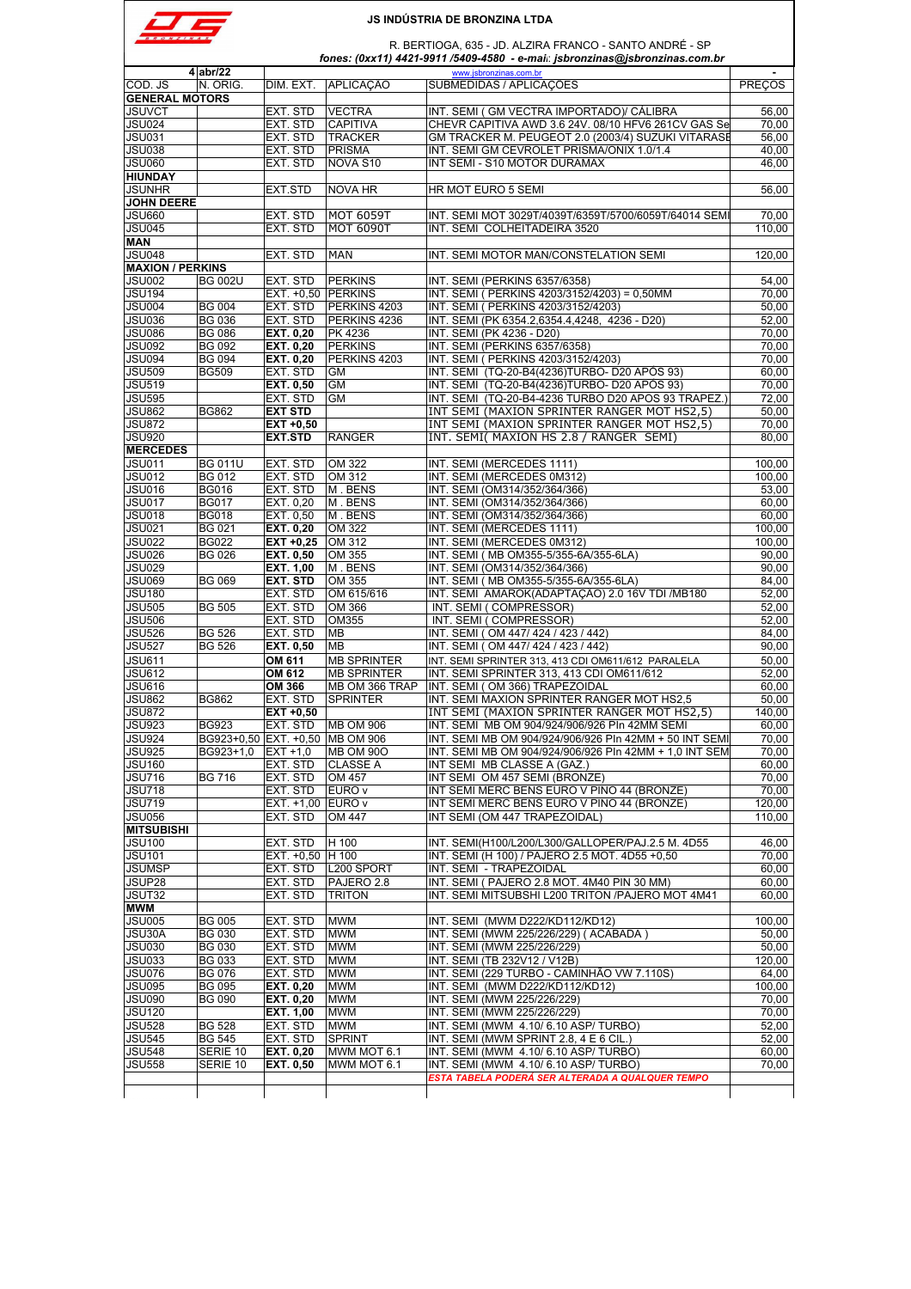| <b>BRONZINA</b> |  |
|-----------------|--|

|                                                                                                                                                                                                                                                                                                              | $4$ abr/22     |                                 |                    | www.jsbronzinas.com.br                                                                    |                                                                                           |
|--------------------------------------------------------------------------------------------------------------------------------------------------------------------------------------------------------------------------------------------------------------------------------------------------------------|----------------|---------------------------------|--------------------|-------------------------------------------------------------------------------------------|-------------------------------------------------------------------------------------------|
| COD. JS                                                                                                                                                                                                                                                                                                      | N. ORIG.       | DIM. EXT.                       | <b>APLICACÃO</b>   | SUBMEDIDAS / APLICAÇÕES                                                                   | <b>PRECOS</b>                                                                             |
| <b>GENERAL MOTORS</b>                                                                                                                                                                                                                                                                                        |                |                                 |                    |                                                                                           |                                                                                           |
| JSUVCT                                                                                                                                                                                                                                                                                                       |                | EXT. STD                        | <b>VECTRA</b>      | INT. SEMI (GM VECTRA IMPORTADO)/ CÁLIBRA                                                  | 56,00                                                                                     |
|                                                                                                                                                                                                                                                                                                              |                |                                 | <b>CAPITIVA</b>    | CHEVR CAPITIVA AWD 3.6 24V. 08/10 HFV6 261CV GAS Se                                       |                                                                                           |
| JSU024                                                                                                                                                                                                                                                                                                       |                | EXT. STD                        |                    |                                                                                           | 70,00                                                                                     |
| JSU031                                                                                                                                                                                                                                                                                                       |                | EXT. STD                        | <b>TRACKER</b>     | GM TRACKER M. PEUGEOT 2.0 (2003/4) SUZUKI VITARASE                                        | 56,00                                                                                     |
| <b>JSU038</b>                                                                                                                                                                                                                                                                                                |                | EXT. STD                        | <b>PRISMA</b>      | INT. SEMI GM CEVROLET PRISMA/ONIX 1.0/1.4                                                 | 40,00                                                                                     |
| JSU060                                                                                                                                                                                                                                                                                                       |                | EXT. STD                        | NOVA S10           | INT SEMI - S10 MOTOR DURAMAX                                                              | 46,00                                                                                     |
| <b>HIUNDAY</b>                                                                                                                                                                                                                                                                                               |                |                                 |                    |                                                                                           |                                                                                           |
| JSUNHR                                                                                                                                                                                                                                                                                                       |                | EXT.STD                         | <b>NOVA HR</b>     | HR MOT EURO 5 SEMI                                                                        | 56,00                                                                                     |
| <b>JOHN DEERE</b>                                                                                                                                                                                                                                                                                            |                |                                 |                    |                                                                                           |                                                                                           |
| JSU660                                                                                                                                                                                                                                                                                                       |                | EXT. STD                        | <b>MOT 6059T</b>   | INT. SEMI MOT 3029T/4039T/6359T/5700/6059T/64014 SEMI                                     | 70.00                                                                                     |
| JSU045                                                                                                                                                                                                                                                                                                       |                | EXT. STD                        | <b>MOT 6090T</b>   | INT. SEMI COLHEITADEIRA 3520                                                              | 110,00                                                                                    |
| <b>MAN</b>                                                                                                                                                                                                                                                                                                   |                |                                 |                    |                                                                                           |                                                                                           |
| JSU048                                                                                                                                                                                                                                                                                                       |                | EXT. STD                        | <b>MAN</b>         | INT. SEMI MOTOR MAN/CONSTELATION SEMI                                                     | 120,00                                                                                    |
| <b>MAXION / PERKINS</b>                                                                                                                                                                                                                                                                                      |                |                                 |                    |                                                                                           |                                                                                           |
| JSU002                                                                                                                                                                                                                                                                                                       | <b>BG 002U</b> | EXT. STD                        | <b>PERKINS</b>     | INT. SEMI (PERKINS 6357/6358)                                                             | 54,00                                                                                     |
| JSU194                                                                                                                                                                                                                                                                                                       |                | EXT. +0,50 PERKINS              |                    | INT. SEMI ( PERKINS 4203/3152/4203) = 0,50MM                                              | 70,00                                                                                     |
|                                                                                                                                                                                                                                                                                                              |                |                                 |                    |                                                                                           |                                                                                           |
| JSU004                                                                                                                                                                                                                                                                                                       | <b>BG 004</b>  | EXT. STD                        | PERKINS 4203       | INT. SEMI ( PERKINS 4203/3152/4203)                                                       | 50,00                                                                                     |
| JSU036                                                                                                                                                                                                                                                                                                       | <b>BG 036</b>  | EXT. STD                        | PERKINS 4236       | INT. SEMI (PK 6354.2,6354.4,4248, 4236 - D20)                                             | 52,00                                                                                     |
| JSU086                                                                                                                                                                                                                                                                                                       | <b>BG 086</b>  | EXT. 0,20                       | PK 4236            | INT. SEMI (PK 4236 - D20)                                                                 | 70,00                                                                                     |
| <b>JSU092</b>                                                                                                                                                                                                                                                                                                | <b>BG 092</b>  | EXT. 0,20                       | <b>PERKINS</b>     | INT. SEMI (PERKINS 6357/6358)                                                             | 70,00                                                                                     |
| JSU094                                                                                                                                                                                                                                                                                                       | <b>BG 094</b>  | <b>EXT. 0,20</b>                | PERKINS 4203       | INT. SEMI ( PERKINS 4203/3152/4203)                                                       | 70,00                                                                                     |
| <b>JSU509</b>                                                                                                                                                                                                                                                                                                | <b>BG509</b>   | EXT. STD                        | <b>GM</b>          | INT. SEMI (TQ-20-B4(4236)TURBO- D20 APÓS 93)                                              | 60,00                                                                                     |
| JSU519                                                                                                                                                                                                                                                                                                       |                | <b>EXT. 0.50</b>                | <b>GM</b>          | INT. SEMI (TQ-20-B4(4236)TURBO- D20 APÓS 93)                                              | 70,00                                                                                     |
| <b>JSU595</b>                                                                                                                                                                                                                                                                                                |                | EXT. STD                        | <b>GM</b>          | INT. SEMI (TQ-20-B4-4236 TURBO D20 APOS 93 TRAPEZ.)                                       | 72,00                                                                                     |
| JSU862                                                                                                                                                                                                                                                                                                       | <b>BG862</b>   | <b>EXT STD</b>                  |                    | INT SEMI (MAXION SPRINTER RANGER MOT HS2,5)                                               | 50.00                                                                                     |
|                                                                                                                                                                                                                                                                                                              |                |                                 |                    | INT SEMI (MAXION SPRINTER RANGER MOT HS2,5)                                               | 70,00                                                                                     |
| <b>JSU872</b>                                                                                                                                                                                                                                                                                                |                | EXT +0,50                       |                    |                                                                                           |                                                                                           |
| <b>JSU920</b>                                                                                                                                                                                                                                                                                                |                | <b>EXT.STD</b>                  | <b>RANGER</b>      | INT. SEMI( MAXION HS 2.8 / RANGER SEMI)                                                   | 80,00                                                                                     |
| <b>MERCEDES</b>                                                                                                                                                                                                                                                                                              |                |                                 |                    |                                                                                           |                                                                                           |
| <b>JSU011</b>                                                                                                                                                                                                                                                                                                | <b>BG 011U</b> | EXT. STD                        | OM 322             | INT. SEMI (MERCEDES 1111)                                                                 | 100,00                                                                                    |
| <b>JSU012</b>                                                                                                                                                                                                                                                                                                | <b>BG 012</b>  | EXT. STD                        | OM 312             | INT. SEMI (MERCEDES 0M312)                                                                | 100.00                                                                                    |
| JSU016                                                                                                                                                                                                                                                                                                       | <b>BG016</b>   | EXT. STD                        | M. BENS            | INT. SEMI (OM314/352/364/366)                                                             | 53,00                                                                                     |
| JSU017                                                                                                                                                                                                                                                                                                       | <b>BG017</b>   | EXT. 0,20                       | M. BENS            | INT. SEMI (OM314/352/364/366)                                                             | 60,00                                                                                     |
| JSU018                                                                                                                                                                                                                                                                                                       | <b>BG018</b>   | EXT. 0,50                       | M. BENS            | INT. SEMI (OM314/352/364/366)                                                             | 60,00                                                                                     |
| JSU021                                                                                                                                                                                                                                                                                                       | <b>BG 021</b>  | EXT. 0,20                       | OM 322             | INT. SEMI (MERCEDES 1111)                                                                 | 100,00                                                                                    |
| JSU022                                                                                                                                                                                                                                                                                                       | <b>BG022</b>   | $EXT +0,25$                     | OM 312             | INT. SEMI (MERCEDES 0M312)                                                                | 100,00                                                                                    |
|                                                                                                                                                                                                                                                                                                              |                |                                 |                    |                                                                                           |                                                                                           |
| JSU026                                                                                                                                                                                                                                                                                                       | <b>BG 026</b>  | <b>EXT. 0,50</b>                | OM 355             | INT. SEMI (MB OM355-5/355-6A/355-6LA)                                                     | 90,00                                                                                     |
| JSU029                                                                                                                                                                                                                                                                                                       |                | EXT. 1,00                       | M. BENS            | INT. SEMI (OM314/352/364/366)                                                             | 90,00                                                                                     |
| <b>JSU069</b>                                                                                                                                                                                                                                                                                                | <b>BG 069</b>  | <b>EXT. STD</b>                 | OM 355             | INT. SEMI (MB OM355-5/355-6A/355-6LA)                                                     | 84,00                                                                                     |
| <b>JSU180</b>                                                                                                                                                                                                                                                                                                |                | EXT. STD                        | OM 615/616         | INT. SEMI AMAROK(ADAPTAÇÃO) 2.0 16V TDI /MB180                                            | 52,00                                                                                     |
| <b>JSU505</b>                                                                                                                                                                                                                                                                                                | <b>BG 505</b>  | EXT. STD                        | OM 366             | INT. SEMI (COMPRESSOR)                                                                    | 52,00                                                                                     |
| <b>JSU506</b>                                                                                                                                                                                                                                                                                                |                | EXT. STD                        | OM355              | INT. SEMI (COMPRESSOR)                                                                    | 52,00                                                                                     |
| JSU526                                                                                                                                                                                                                                                                                                       | <b>BG 526</b>  | EXT. STD                        | MВ                 | INT. SEMI (OM 447/ 424 / 423 / 442)                                                       | 84,00                                                                                     |
| <b>JSU527</b>                                                                                                                                                                                                                                                                                                | <b>BG 526</b>  | <b>EXT. 0,50</b>                | <b>MB</b>          | INT. SEMI (OM 447/ 424 / 423 / 442)                                                       | 90,00                                                                                     |
| JSU611                                                                                                                                                                                                                                                                                                       |                | OM 611                          | <b>MB SPRINTER</b> | INT. SEMI SPRINTER 313, 413 CDI OM611/612 PARALELA                                        | 50,00                                                                                     |
| JSU612                                                                                                                                                                                                                                                                                                       |                | OM 612                          | <b>MB SPRINTER</b> | INT. SEMI SPRINTER 313, 413 CDI OM611/612                                                 | 52,00                                                                                     |
|                                                                                                                                                                                                                                                                                                              |                |                                 |                    |                                                                                           |                                                                                           |
| JSU616                                                                                                                                                                                                                                                                                                       |                | OM 366                          | MB OM 366 TRAP     | INT. SEMI (OM 366) TRAPEZOIDAL                                                            | 60,00                                                                                     |
| <b>JSU862</b>                                                                                                                                                                                                                                                                                                | <b>BG862</b>   | EXT. STD                        | <b>SPRINTER</b>    | INT. SEMI MAXION SPRINTER RANGER MOT HS2,5                                                | 50,00                                                                                     |
| JSU872                                                                                                                                                                                                                                                                                                       |                | EXT +0,50                       |                    | INT SEMI (MAXION SPRINTER RANGER MOT HS2,5)                                               |                                                                                           |
| JSU923                                                                                                                                                                                                                                                                                                       | <b>BG923</b>   |                                 |                    |                                                                                           |                                                                                           |
|                                                                                                                                                                                                                                                                                                              |                | EXT. STD                        | <b>MB OM 906</b>   | INT. SEMI MB OM 904/924/906/926 PIn 42MM SEMI                                             |                                                                                           |
|                                                                                                                                                                                                                                                                                                              |                | BG923+0,50 EXT. +0,50 MB OM 906 |                    | INT. SEMI MB OM 904/924/906/926 PIn 42MM + 50 INT SEMI                                    |                                                                                           |
|                                                                                                                                                                                                                                                                                                              | BG923+1,0      | $ EXI + 1,0 $                   | <b>MB OM 900</b>   | INT. SEMI MB OM 904/924/906/926 PIn 42MM + 1,0 INT SEM                                    |                                                                                           |
|                                                                                                                                                                                                                                                                                                              |                |                                 | <b>CLASSE A</b>    |                                                                                           | 140.00<br>60,00<br>70,00<br>70,00<br>60.00                                                |
|                                                                                                                                                                                                                                                                                                              |                | EXT. STD                        |                    | INT SEMI MB CLASSE A (GAZ.)                                                               |                                                                                           |
|                                                                                                                                                                                                                                                                                                              | <b>BG 716</b>  | EXT. STD                        | OM 457             | INT SEMI OM 457 SEMI (BRONZE)                                                             |                                                                                           |
|                                                                                                                                                                                                                                                                                                              |                | EXT. STD                        | EURO v             | INT SEMI MERC BENS EURO V PINO 44 (BRONZE)                                                |                                                                                           |
|                                                                                                                                                                                                                                                                                                              |                | EXT. +1,00 EURO v               |                    | INT SEMI MERC BENS EURO V PINO 44 (BRONZE)                                                |                                                                                           |
|                                                                                                                                                                                                                                                                                                              |                | EXT. STD                        | OM 447             | INT SEMI (OM 447 TRAPEZOIDAL)                                                             |                                                                                           |
|                                                                                                                                                                                                                                                                                                              |                |                                 |                    |                                                                                           |                                                                                           |
|                                                                                                                                                                                                                                                                                                              |                | EXT. STD                        | H 100              | INT. SEMI(H100/L200/L300/GALLOPER/PAJ.2.5 M. 4D55                                         |                                                                                           |
|                                                                                                                                                                                                                                                                                                              |                | EXT. +0,50 H 100                |                    | INT. SEMI (H 100) / PAJERO 2.5 MOT. 4D55 +0,50                                            |                                                                                           |
|                                                                                                                                                                                                                                                                                                              |                | EXT. STD                        | L200 SPORT         | INT. SEMI - TRAPEZOIDAL                                                                   |                                                                                           |
|                                                                                                                                                                                                                                                                                                              |                | EXT. STD                        | PAJERO 2.8         | INT. SEMI (PAJERO 2.8 MOT. 4M40 PIN 30 MM)                                                |                                                                                           |
|                                                                                                                                                                                                                                                                                                              |                | EXT. STD                        | <b>TRITON</b>      | INT. SEMI MITSUBSHI L200 TRITON /PAJERO MOT 4M41                                          | 70,00<br>70,00<br>120,00<br>110,00<br>46,00<br>70,00<br>60,00<br>60.00<br>60,00           |
|                                                                                                                                                                                                                                                                                                              |                |                                 |                    |                                                                                           |                                                                                           |
|                                                                                                                                                                                                                                                                                                              |                |                                 |                    |                                                                                           |                                                                                           |
|                                                                                                                                                                                                                                                                                                              | <b>BG 005</b>  | EXT. STD                        | <b>MWM</b>         | INT. SEMI (MWM D222/KD112/KD12)                                                           |                                                                                           |
|                                                                                                                                                                                                                                                                                                              | <b>BG 030</b>  | EXT. STD                        | <b>MWM</b>         | INT. SEMI (MWM 225/226/229) ( ACABADA )                                                   |                                                                                           |
|                                                                                                                                                                                                                                                                                                              | <b>BG 030</b>  | EXT. STD                        | <b>MWM</b>         | INT. SEMI (MWM 225/226/229)                                                               |                                                                                           |
|                                                                                                                                                                                                                                                                                                              | <b>BG 033</b>  | EXT. STD                        | <b>MWM</b>         | INT. SEMI (TB 232V12 / V12B)                                                              |                                                                                           |
|                                                                                                                                                                                                                                                                                                              | <b>BG 076</b>  | EXT. STD                        | <b>MWM</b>         | INT. SEMI (229 TURBO - CAMINHÃO VW 7.110S)                                                |                                                                                           |
|                                                                                                                                                                                                                                                                                                              | <b>BG 095</b>  | EXT. 0,20                       | <b>MWM</b>         | INT. SEMI (MWM D222/KD112/KD12)                                                           |                                                                                           |
|                                                                                                                                                                                                                                                                                                              | <b>BG 090</b>  | EXT. 0,20                       | <b>MWM</b>         | INT. SEMI (MWM 225/226/229)                                                               |                                                                                           |
|                                                                                                                                                                                                                                                                                                              |                |                                 |                    |                                                                                           |                                                                                           |
|                                                                                                                                                                                                                                                                                                              |                | EXT. 1,00                       | <b>MWM</b>         | INT. SEMI (MWM 225/226/229)                                                               |                                                                                           |
|                                                                                                                                                                                                                                                                                                              | <b>BG 528</b>  | EXT. STD                        | <b>MWM</b>         | INT. SEMI (MWM 4.10/6.10 ASP/TURBO)                                                       |                                                                                           |
| <b>JSU924</b><br>JSU925<br>JSU160<br><b>JSU716</b><br><b>JSU718</b><br>JSU719<br>JSU056<br><b>MITSUBISHI</b><br>JSU100<br><b>JSU101</b><br>JSUMSP<br>JSUP28<br>JSUT32<br>MWM<br>JSU005<br>JSU30A<br><b>JSU030</b><br>JSU033<br>JSU076<br>JSU095<br>JSU090<br><b>JSU120</b><br><b>JSU528</b><br><b>JSU545</b> | <b>BG 545</b>  | EXT. STD                        | <b>SPRINT</b>      | INT. SEMI (MWM SPRINT 2.8, 4 E 6 CIL.)                                                    | 100,00<br>50,00<br>50,00<br>120,00<br>64,00<br>100,00<br>70,00<br>70,00<br>52,00<br>52,00 |
| <b>JSU548</b>                                                                                                                                                                                                                                                                                                | SERIE 10       | EXT. 0,20                       | MWM MOT 6.1        | INT. SEMI (MWM 4.10/ 6.10 ASP/ TURBO)                                                     | 60,00                                                                                     |
| <b>JSU558</b>                                                                                                                                                                                                                                                                                                | SERIE 10       | <b>EXT. 0.50</b>                | MWM MOT 6.1        | INT. SEMI (MWM 4.10/ 6.10 ASP/ TURBO)<br>ESTA TABELA PODERÁ SER ALTERADA A QUALQUER TEMPO | 70,00                                                                                     |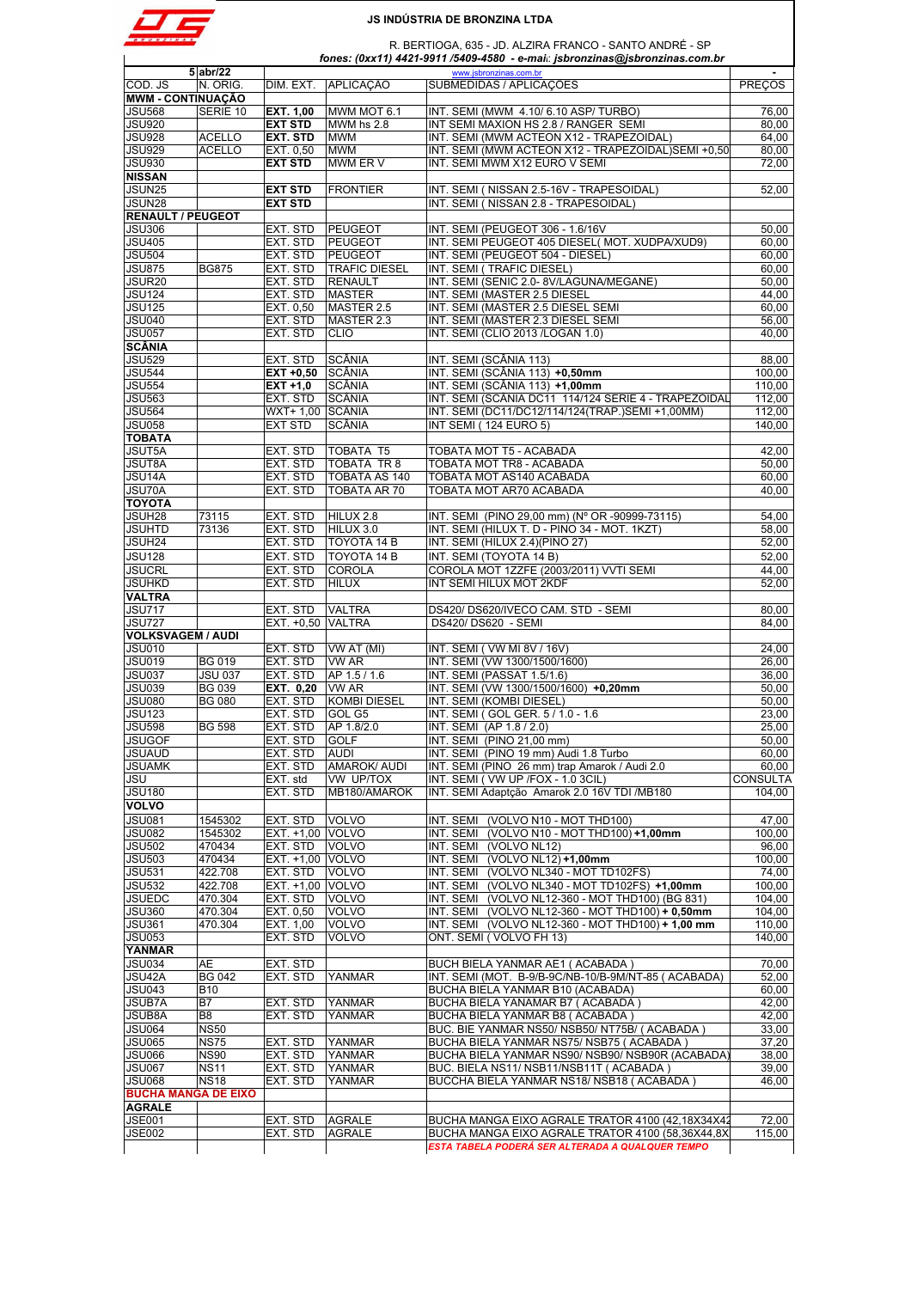

|                                                                                                                                                                                                                                                                                                                                                              | $5$ abr/22     |                   |                      |                                                                                                      |                 |
|--------------------------------------------------------------------------------------------------------------------------------------------------------------------------------------------------------------------------------------------------------------------------------------------------------------------------------------------------------------|----------------|-------------------|----------------------|------------------------------------------------------------------------------------------------------|-----------------|
|                                                                                                                                                                                                                                                                                                                                                              |                |                   |                      | www.jsbronzinas.com.br                                                                               |                 |
| COD. JS                                                                                                                                                                                                                                                                                                                                                      | N. ORIG.       |                   | DIM. EXT. APLICAÇÃO  | SUBMEDIDAS / APLICAÇÕES                                                                              | <b>PREÇOS</b>   |
| <b>MWM - CONTINUAÇÃO</b>                                                                                                                                                                                                                                                                                                                                     |                |                   |                      |                                                                                                      |                 |
| JSU568                                                                                                                                                                                                                                                                                                                                                       | SERIE 10       | <b>EXT. 1,00</b>  | MWM MOT 6.1          | INT. SEMI (MWM 4.10/6.10 ASP/TURBO)                                                                  | 76,00           |
| <b>JSU920</b>                                                                                                                                                                                                                                                                                                                                                |                | <b>EXT STD</b>    | MWM hs 2.8           | INT SEMI MAXION HS 2.8 / RANGER SEMI                                                                 | 80,00           |
| JSU928                                                                                                                                                                                                                                                                                                                                                       | <b>ACELLO</b>  | EXT. STD          | <b>MWM</b>           | INT. SEMI (MWM ACTEON X12 - TRAPEZOIDAL)                                                             | 64,00           |
| <b>JSU929</b>                                                                                                                                                                                                                                                                                                                                                | <b>ACELLO</b>  | EXT. 0,50         | <b>MWM</b>           | INT. SEMI (MWM ACTEON X12 - TRAPEZOIDAL) SEMI +0,50                                                  | 80,00           |
|                                                                                                                                                                                                                                                                                                                                                              |                |                   |                      |                                                                                                      |                 |
| <b>JSU930</b>                                                                                                                                                                                                                                                                                                                                                |                | <b>EXT STD</b>    | MWM ER V             | INT. SEMI MWM X12 EURO V SEMI                                                                        | 72,00           |
| <b>NISSAN</b>                                                                                                                                                                                                                                                                                                                                                |                |                   |                      |                                                                                                      |                 |
| JSUN25                                                                                                                                                                                                                                                                                                                                                       |                | <b>EXT STD</b>    | <b>FRONTIER</b>      | INT. SEMI (NISSAN 2.5-16V - TRAPESOIDAL)                                                             | 52,00           |
| JSUN28                                                                                                                                                                                                                                                                                                                                                       |                | <b>EXT STD</b>    |                      | INT. SEMI (NISSAN 2.8 - TRAPESOIDAL)                                                                 |                 |
| <b>RENAULT / PEUGEOT</b>                                                                                                                                                                                                                                                                                                                                     |                |                   |                      |                                                                                                      |                 |
|                                                                                                                                                                                                                                                                                                                                                              |                |                   |                      |                                                                                                      |                 |
| <b>JSU306</b>                                                                                                                                                                                                                                                                                                                                                |                | EXT. STD          | PEUGEOT              | INT. SEMI (PEUGEOT 306 - 1.6/16V                                                                     | 50.00           |
| <b>JSU405</b>                                                                                                                                                                                                                                                                                                                                                |                | EXT. STD          | <b>PEUGEOT</b>       | INT. SEMI PEUGEOT 405 DIESEL(MOT. XUDPA/XUD9)                                                        | 60,00           |
| <b>JSU504</b>                                                                                                                                                                                                                                                                                                                                                |                | EXT. STD          | <b>PEUGEOT</b>       | INT. SEMI (PEUGEOT 504 - DIESEL)                                                                     | 60,00           |
| <b>JSU875</b>                                                                                                                                                                                                                                                                                                                                                | <b>BG875</b>   | EXT. STD          | <b>TRAFIC DIESEL</b> | INT. SEMI (TRAFIC DIESEL)                                                                            | 60,00           |
|                                                                                                                                                                                                                                                                                                                                                              |                | EXT. STD          |                      |                                                                                                      |                 |
| JSUR20                                                                                                                                                                                                                                                                                                                                                       |                |                   | <b>RENAULT</b>       | INT. SEMI (SENIC 2.0-8V/LAGUNA/MEGANE)                                                               | 50,00           |
| <b>JSU124</b>                                                                                                                                                                                                                                                                                                                                                |                | EXT. STD          | <b>MASTER</b>        | INT. SEMI (MASTER 2.5 DIESEL                                                                         | 44,00           |
| <b>JSU125</b>                                                                                                                                                                                                                                                                                                                                                |                | EXT. 0,50         | MASTER 2.5           | INT. SEMI (MASTER 2.5 DIESEL SEMI                                                                    | 60,00           |
| <b>JSU040</b>                                                                                                                                                                                                                                                                                                                                                |                | EXT. STD          | MASTER 2.3           | INT. SEMI (MASTER 2.3 DIESEL SEMI                                                                    | 56,00           |
| <b>JSU057</b>                                                                                                                                                                                                                                                                                                                                                |                | EXT. STD          | <b>CLIO</b>          | INT. SEMI (CLIO 2013 /LOGAN 1.0)                                                                     | 40.00           |
|                                                                                                                                                                                                                                                                                                                                                              |                |                   |                      |                                                                                                      |                 |
| <b>SCÂNIA</b>                                                                                                                                                                                                                                                                                                                                                |                |                   |                      |                                                                                                      |                 |
| <b>JSU529</b>                                                                                                                                                                                                                                                                                                                                                |                | EXT. STD          | SCÂNIA               | INT. SEMI (SCÂNIA 113)                                                                               | 88,00           |
| <b>JSU544</b>                                                                                                                                                                                                                                                                                                                                                |                | $EXT +0,50$       | <b>SCÂNIA</b>        | INT. SEMI (SCÂNIA 113) +0,50mm                                                                       | 100,00          |
| <b>JSU554</b>                                                                                                                                                                                                                                                                                                                                                |                |                   | SCÂNIA               |                                                                                                      |                 |
|                                                                                                                                                                                                                                                                                                                                                              |                | EXT +1,0          |                      | INT. SEMI (SCÂNIA 113) +1,00mm                                                                       | 110.00          |
| <b>JSU563</b>                                                                                                                                                                                                                                                                                                                                                |                | EXT. STD          | SCÂNIA               | INT. SEMI (SCÂNIA DC11 114/124 SERIE 4 - TRAPEZOIDAL                                                 | 112.00          |
| <b>JSU564</b>                                                                                                                                                                                                                                                                                                                                                |                | WXT+ 1,00 SCÂNIA  |                      | INT. SEMI (DC11/DC12/114/124(TRAP.)SEMI +1.00MM)                                                     | 112,00          |
| <b>JSU058</b>                                                                                                                                                                                                                                                                                                                                                |                | <b>EXT STD</b>    | SCÂNIA               | INT SEMI (124 EURO 5)                                                                                | 140.00          |
| <b>TOBATA</b>                                                                                                                                                                                                                                                                                                                                                |                |                   |                      |                                                                                                      |                 |
|                                                                                                                                                                                                                                                                                                                                                              |                |                   |                      |                                                                                                      |                 |
| <b>JSUT5A</b>                                                                                                                                                                                                                                                                                                                                                |                | EXT. STD          | <b>TOBATA T5</b>     | TOBATA MOT T5 - ACABADA                                                                              | 42,00           |
| <b>JSUT8A</b>                                                                                                                                                                                                                                                                                                                                                |                | EXT. STD          | TOBATA TR 8          | TOBATA MOT TR8 - ACABADA                                                                             | 50,00           |
| JSU14A                                                                                                                                                                                                                                                                                                                                                       |                | EXT. STD          | <b>TOBATA AS 140</b> | TOBATA MOT AS140 ACABADA                                                                             | 60,00           |
| JSU70A                                                                                                                                                                                                                                                                                                                                                       |                | EXT. STD          | <b>TOBATA AR 70</b>  | TOBATA MOT AR70 ACABADA                                                                              | 40,00           |
|                                                                                                                                                                                                                                                                                                                                                              |                |                   |                      |                                                                                                      |                 |
| <b>TOYOTA</b>                                                                                                                                                                                                                                                                                                                                                |                |                   |                      |                                                                                                      |                 |
| JSUH28                                                                                                                                                                                                                                                                                                                                                       | 73115          | EXT. STD          | HILUX 2.8            | INT. SEMI (PINO 29,00 mm) (N° OR -90999-73115)                                                       | 54,00           |
| JSUHTD                                                                                                                                                                                                                                                                                                                                                       | 73136          | EXT. STD          | HILUX 3.0            | INT. SEMI (HILUX T. D - PINO 34 - MOT. 1KZT)                                                         | 58,00           |
| JSUH <sub>24</sub>                                                                                                                                                                                                                                                                                                                                           |                | EXT. STD          | TOYOTA 14 B          | INT. SEMI (HILUX 2.4)(PINO 27)                                                                       | 52,00           |
|                                                                                                                                                                                                                                                                                                                                                              |                |                   |                      |                                                                                                      |                 |
| <b>JSU128</b>                                                                                                                                                                                                                                                                                                                                                |                | EXT. STD          | TOYOTA 14 B          | INT. SEMI (TOYOTA 14 B)                                                                              | 52,00           |
| <b>JSUCRL</b>                                                                                                                                                                                                                                                                                                                                                |                | EXT. STD          | <b>COROLA</b>        | COROLA MOT 1ZZFE (2003/2011) VVTI SEMI                                                               | 44,00           |
|                                                                                                                                                                                                                                                                                                                                                              |                | EXT. STD          |                      |                                                                                                      | 52,00           |
| JSUHKD                                                                                                                                                                                                                                                                                                                                                       |                |                   | <b>HILUX</b>         | INT SEMI HILUX MOT 2KDF                                                                              |                 |
| <b>VALTRA</b>                                                                                                                                                                                                                                                                                                                                                |                |                   |                      |                                                                                                      |                 |
| <b>JSU717</b>                                                                                                                                                                                                                                                                                                                                                |                | EXT. STD          | <b>VALTRA</b>        | DS420/ DS620/IVECO CAM. STD - SEMI                                                                   | 80,00           |
| <b>JSU727</b>                                                                                                                                                                                                                                                                                                                                                |                | EXT. +0,50 VALTRA |                      | DS420/DS620 - SEMI                                                                                   | 84,00           |
| <b>VOLKSVAGEM / AUDI</b>                                                                                                                                                                                                                                                                                                                                     |                |                   |                      |                                                                                                      |                 |
|                                                                                                                                                                                                                                                                                                                                                              |                |                   |                      |                                                                                                      |                 |
| <b>JSU010</b>                                                                                                                                                                                                                                                                                                                                                |                | EXT. STD          | VW AT (MI)           | INT. SEMI (VW MI 8V / 16V)                                                                           | 24,00           |
| <b>JSU019</b>                                                                                                                                                                                                                                                                                                                                                | <b>BG 019</b>  | EXT. STD          | VW AR                | INT. SEMI (VW 1300/1500/1600)                                                                        | 26,00           |
| JSU037                                                                                                                                                                                                                                                                                                                                                       | <b>JSU 037</b> | EXT. STD          | AP 1.5 / 1.6         | INT. SEMI (PASSAT 1.5/1.6)                                                                           | 36,00           |
| <b>JSU039</b>                                                                                                                                                                                                                                                                                                                                                | <b>BG 039</b>  | EXT. 0,20         | VW AR                | INT. SEMI (VW 1300/1500/1600) +0,20mm                                                                | 50,00           |
|                                                                                                                                                                                                                                                                                                                                                              |                |                   |                      |                                                                                                      |                 |
| <b>JSU080</b>                                                                                                                                                                                                                                                                                                                                                | <b>BG 080</b>  | EXT. STD          | <b>KOMBI DIESEL</b>  | INT. SEMI (KOMBI DIESEL)                                                                             | 50,00           |
| <b>JSU123</b>                                                                                                                                                                                                                                                                                                                                                |                | EXT. STD          | GOL G5               | INT. SEMI (GOL GER. 5 / 1.0 - 1.6)                                                                   | 23,00           |
| <b>JSU598</b>                                                                                                                                                                                                                                                                                                                                                | <b>BG 598</b>  | EXT. STD          | AP 1.8/2.0           | INT. SEMI (AP 1.8 / 2.0)                                                                             | 25,00           |
| JSUGOF                                                                                                                                                                                                                                                                                                                                                       |                | EXT. STD          | <b>GOLF</b>          | INT. SEMI (PINO 21,00 mm)                                                                            | 50,00           |
|                                                                                                                                                                                                                                                                                                                                                              |                |                   |                      |                                                                                                      |                 |
| JSUAUD                                                                                                                                                                                                                                                                                                                                                       |                | EXT. STD          | <b>AUDI</b>          | INT. SEMI (PINO 19 mm) Audi 1.8 Turbo                                                                | 60,00           |
| <b>JSUAMK</b>                                                                                                                                                                                                                                                                                                                                                |                | EXT. STD          | <b>AMAROK/ AUDI</b>  | INT. SEMI (PINO 26 mm) trap Amarok / Audi 2.0                                                        | 60,00           |
| JSU                                                                                                                                                                                                                                                                                                                                                          |                | EXT. std          | VW UP/TOX            | INT. SEMI ( VW UP /FOX - 1.0 3CIL)                                                                   | <b>CONSULTA</b> |
| <b>JSU180</b>                                                                                                                                                                                                                                                                                                                                                |                | EXT. STD          | MB180/AMAROK         | INT. SEMI Adaptção Amarok 2.0 16V TDI /MB180                                                         | 104,00          |
|                                                                                                                                                                                                                                                                                                                                                              |                |                   |                      |                                                                                                      |                 |
| <b>VOLVO</b>                                                                                                                                                                                                                                                                                                                                                 |                |                   |                      |                                                                                                      |                 |
| <b>JSU081</b>                                                                                                                                                                                                                                                                                                                                                | 1545302        | EXT. STD          | <b>VOLVO</b>         | (VOLVO N10 - MOT THD100)<br>INT. SEMI                                                                | 47,00           |
| <b>JSU082</b>                                                                                                                                                                                                                                                                                                                                                | 1545302        | EXT. +1,00 VOLVO  |                      | INT. SEMI<br>(VOLVO N10 - MOT THD100) +1,00mm                                                        | 100,00          |
|                                                                                                                                                                                                                                                                                                                                                              | 470434         | EXT. STD          | <b>VOLVO</b>         | INT. SEMI<br>(VOLVO NL12)                                                                            | 96,00           |
|                                                                                                                                                                                                                                                                                                                                                              |                |                   |                      |                                                                                                      |                 |
|                                                                                                                                                                                                                                                                                                                                                              |                |                   |                      | (VOLVO NL12) +1,00mm<br>INT. SEMI                                                                    | 100,00          |
|                                                                                                                                                                                                                                                                                                                                                              | 470434         | EXT. +1,00 VOLVO  |                      |                                                                                                      |                 |
|                                                                                                                                                                                                                                                                                                                                                              | 422.708        | EXT. STD          | <b>VOLVO</b>         | (VOLVO NL340 - MOT TD102FS)<br>INT. SEMI                                                             | 74,00           |
|                                                                                                                                                                                                                                                                                                                                                              | 422.708        |                   |                      |                                                                                                      |                 |
|                                                                                                                                                                                                                                                                                                                                                              |                | EXT. +1,00 VOLVO  |                      | INT. SEMI (VOLVO NL340 - MOT TD102FS) +1,00mm                                                        | 100,00          |
|                                                                                                                                                                                                                                                                                                                                                              | 470.304        | EXT. STD          | <b>VOLVO</b>         | INT. SEMI (VOLVO NL12-360 - MOT THD100) (BG 831)                                                     | 104,00          |
|                                                                                                                                                                                                                                                                                                                                                              | 470.304        | EXT. 0,50         | <b>VOLVO</b>         | INT. SEMI (VOLVO NL12-360 - MOT THD100) + 0,50mm                                                     | 104,00          |
|                                                                                                                                                                                                                                                                                                                                                              | 470.304        | EXT. 1,00         | <b>VOLVO</b>         | INT. SEMI (VOLVO NL12-360 - MOT THD100) + 1,00 mm                                                    | 110,00          |
|                                                                                                                                                                                                                                                                                                                                                              |                |                   | <b>VOLVO</b>         |                                                                                                      | 140,00          |
|                                                                                                                                                                                                                                                                                                                                                              |                | EXT. STD          |                      | ONT. SEMI (VOLVO FH 13)                                                                              |                 |
|                                                                                                                                                                                                                                                                                                                                                              |                |                   |                      |                                                                                                      |                 |
|                                                                                                                                                                                                                                                                                                                                                              | AE             | EXT. STD          |                      | BUCH BIELA YANMAR AE1 ( ACABADA )                                                                    | 70,00           |
|                                                                                                                                                                                                                                                                                                                                                              | <b>BG 042</b>  | EXT. STD          | <b>YANMAR</b>        | INT. SEMI (MOT. B-9/B-9C/NB-10/B-9M/NT-85 (ACABADA)                                                  | 52,00           |
|                                                                                                                                                                                                                                                                                                                                                              |                |                   |                      |                                                                                                      |                 |
|                                                                                                                                                                                                                                                                                                                                                              | <b>B10</b>     |                   |                      | BUCHA BIELA YANMAR B10 (ACABADA)                                                                     | 60,00           |
|                                                                                                                                                                                                                                                                                                                                                              | B7             | EXT. STD          | <b>YANMAR</b>        | BUCHA BIELA YANAMAR B7 (ACABADA)                                                                     | 42,00           |
|                                                                                                                                                                                                                                                                                                                                                              | B8             | EXT. STD          | YANMAR               | BUCHA BIELA YANMAR B8 (ACABADA)                                                                      | 42,00           |
|                                                                                                                                                                                                                                                                                                                                                              | <b>NS50</b>    |                   |                      | BUC. BIE YANMAR NS50/ NSB50/ NT75B/ (ACABADA)                                                        | 33,00           |
|                                                                                                                                                                                                                                                                                                                                                              |                |                   |                      |                                                                                                      |                 |
|                                                                                                                                                                                                                                                                                                                                                              | <b>NS75</b>    | EXT. STD          | <b>YANMAR</b>        | BUCHA BIELA YANMAR NS75/NSB75 (ACABADA)                                                              | 37,20           |
|                                                                                                                                                                                                                                                                                                                                                              | <b>NS90</b>    | EXT. STD          | YANMAR               | BUCHA BIELA YANMAR NS90/ NSB90/ NSB90R (ACABADA)                                                     | 38,00           |
|                                                                                                                                                                                                                                                                                                                                                              | <b>NS11</b>    | EXT. STD          | <b>YANMAR</b>        | BUC. BIELA NS11/ NSB11/NSB11T (ACABADA)                                                              | 39,00           |
|                                                                                                                                                                                                                                                                                                                                                              |                |                   |                      |                                                                                                      |                 |
|                                                                                                                                                                                                                                                                                                                                                              | <b>NS18</b>    | EXT. STD          | YANMAR               | BUCCHA BIELA YANMAR NS18/NSB18 (ACABADA)                                                             | 46,00           |
|                                                                                                                                                                                                                                                                                                                                                              |                |                   |                      |                                                                                                      |                 |
|                                                                                                                                                                                                                                                                                                                                                              |                |                   |                      |                                                                                                      |                 |
|                                                                                                                                                                                                                                                                                                                                                              |                | EXT. STD          | <b>AGRALE</b>        | BUCHA MANGA EIXO AGRALE TRATOR 4100 (42,18X34X42                                                     | 72,00           |
| <b>JSU502</b><br><b>JSU503</b><br><b>JSU531</b><br><b>JSU532</b><br><b>JSUEDC</b><br><b>JSU360</b><br><b>JSU361</b><br><b>JSU053</b><br>YANMAR<br><b>JSU034</b><br>JSU42A<br>JSU043<br><b>JSUB7A</b><br><b>JSUB8A</b><br><b>JSU064</b><br><b>JSU065</b><br><b>JSU066</b><br><b>JSU067</b><br><b>JSU068</b><br><b>BUCHA MANGA DE EIXO</b><br>AGRALE<br>JSE001 |                |                   |                      |                                                                                                      |                 |
| <b>JSE002</b>                                                                                                                                                                                                                                                                                                                                                |                | EXT. STD          | <b>AGRALE</b>        | BUCHA MANGA EIXO AGRALE TRATOR 4100 (58,36X44,8X<br>ESTA TABELA PODERÁ SER ALTERADA A QUALQUER TEMPO | 115,00          |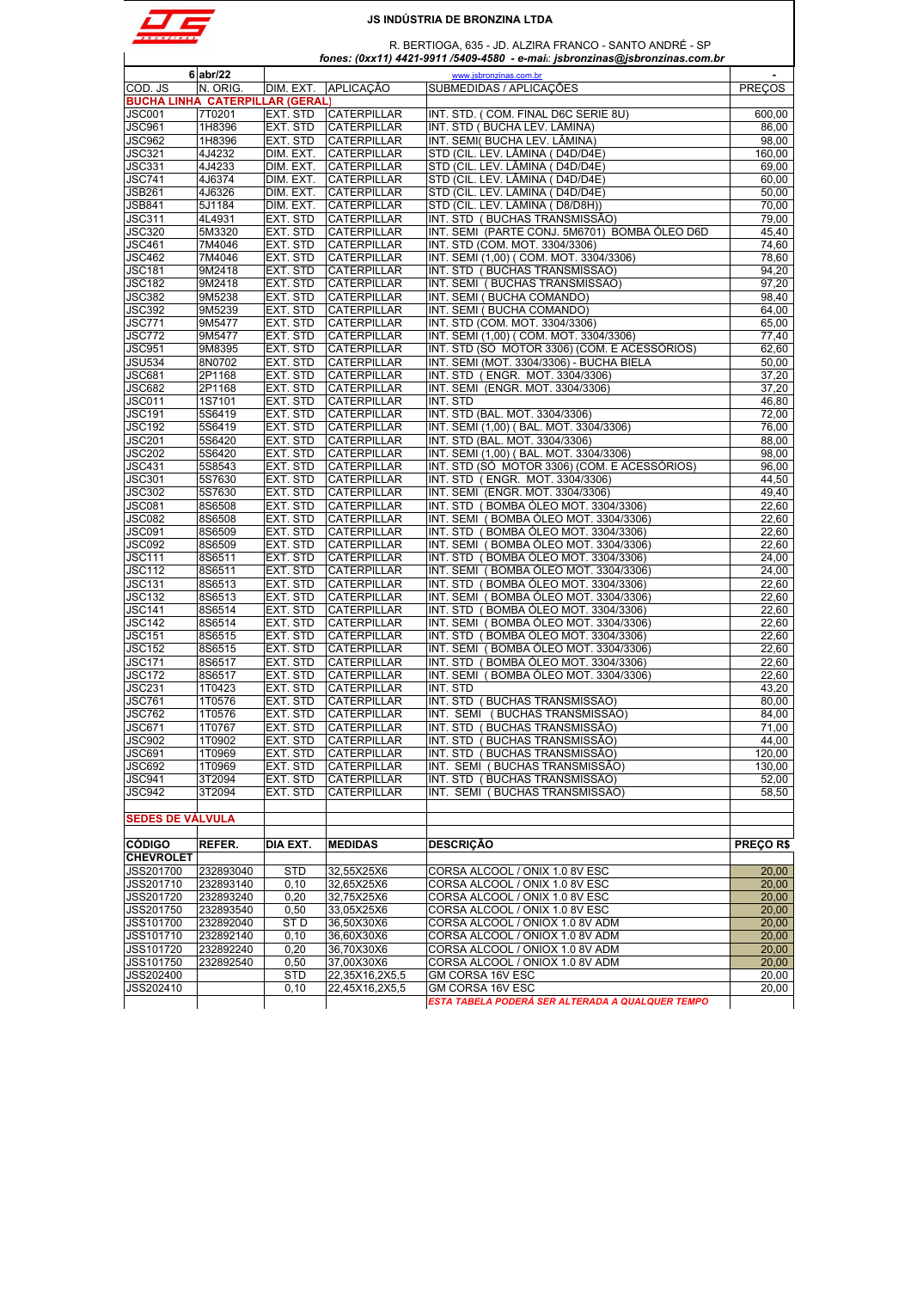

|                                        | 6 abr/22         |                              |                                          | www.jsbronzinas.com.br                                                        |                 |
|----------------------------------------|------------------|------------------------------|------------------------------------------|-------------------------------------------------------------------------------|-----------------|
| COD. JS                                | N. ORIG.         | DIM. EXT.                    | <b>APLICAÇÃO</b>                         | SUBMEDIDAS / APLICAÇÕES                                                       | <b>PRECOS</b>   |
| <b>BUCHA LINHA CATERPILLAR (GERAL)</b> |                  |                              |                                          |                                                                               |                 |
| <b>JSC001</b>                          | 7T0201           | EXT. STD                     | <b>CATERPILLAR</b>                       | INT. STD. (COM. FINAL D6C SERIE 8U)                                           | 600,00          |
| <b>JSC961</b>                          | 1H8396           | EXT. STD                     | <b>CATERPILLAR</b>                       | INT. STD (BUCHA LEV. LÂMINA)                                                  | 86,00           |
| <b>JSC962</b><br><b>JSC321</b>         | 1H8396<br>4J4232 | <b>EXT. STD</b><br>DIM. EXT. | <b>CATERPILLAR</b><br><b>CATERPILLAR</b> | INT. SEMI(BUCHA LEV. LÂMINA)<br>STD (CIL. LEV. LÂMINA (D4D/D4E)               | 98,00<br>160.00 |
| <b>JSC331</b>                          | 4J4233           | DIM. EXT.                    | <b>CATERPILLAR</b>                       | STD (CIL. LEV. LÂMINA ( D4D/D4E)                                              | 69,00           |
| <b>JSC741</b>                          | 4J6374           | DIM. EXT.                    | <b>CATERPILLAR</b>                       | STD (CIL. LEV. LÂMINA ( D4D/D4E)                                              | 60,00           |
| <b>JSB261</b>                          | 4J6326           | DIM. EXT.                    | <b>CATERPILLAR</b>                       | STD (CIL. LEV. LÂMINA (D4D/D4E)                                               | 50,00           |
| <b>JSB841</b>                          | 5J1184           | DIM. EXT.                    | CATERPILLAR                              | STD (CIL. LEV. LÂMINA (D8/D8H))                                               | 70,00           |
| <b>JSC311</b>                          | 4L4931           | <b>EXT. STD</b>              | <b>CATERPILLAR</b>                       | INT. STD (BUCHAS TRANSMISSÃO)                                                 | 79,00           |
| <b>JSC320</b>                          | 5M3320           | EXT. STD                     | <b>CATERPILLAR</b>                       | INT. SEMI (PARTE CONJ. 5M6701) BOMBA ÓLEO D6D                                 | 45,40           |
| <b>JSC461</b>                          | 7M4046           | EXT. STD                     | CATERPILLAR                              | INT. STD (COM. MOT. 3304/3306)                                                | 74,60           |
| <b>JSC462</b>                          | 7M4046           | <b>EXT. STD</b>              | <b>CATERPILLAR</b>                       | INT. SEMI (1,00) ( COM. MOT. 3304/3306)                                       | 78,60           |
| <b>JSC181</b>                          | 9M2418           | EXT. STD                     | <b>CATERPILLAR</b>                       | INT. STD (BUCHAS TRANSMISSÃO)                                                 | 94,20           |
| <b>JSC182</b>                          | 9M2418           | EXT. STD                     | <b>CATERPILLAR</b>                       | INT. SEMI (BUCHAS TRANSMISSÃO)                                                | 97,20           |
| <b>JSC382</b><br><b>JSC392</b>         | 9M5238           | <b>EXT. STD</b>              | <b>CATERPILLAR</b>                       | INT. SEMI (BUCHA COMANDO)                                                     | 98,40           |
| <b>JSC771</b>                          | 9M5239<br>9M5477 | EXT. STD<br><b>EXT. STD</b>  | <b>CATERPILLAR</b><br><b>CATERPILLAR</b> | INT. SEMI (BUCHA COMANDO)<br>INT. STD (COM. MOT. 3304/3306)                   | 64,00<br>65,00  |
| <b>JSC772</b>                          | 9M5477           | <b>EXT. STD</b>              | CATERPILLAR                              | INT. SEMI (1,00) ( COM. MOT. 3304/3306)                                       | 77,40           |
| <b>JSC951</b>                          | 9M8395           | <b>EXT. STD</b>              | <b>CATERPILLAR</b>                       | INT. STD (SÓ MOTOR 3306) (COM. E ACESSÓRIOS)                                  | 62,60           |
| <b>JSU534</b>                          | 8N0702           | EXT. STD                     | <b>CATERPILLAR</b>                       | INT. SEMI (MOT. 3304/3306) - BUCHA BIELA                                      | 50,00           |
| <b>JSC681</b>                          | 2P1168           | EXT. STD                     | <b>CATERPILLAR</b>                       | INT. STD (ENGR. MOT. 3304/3306)                                               | 37.20           |
| <b>JSC682</b>                          | 2P1168           | <b>EXT. STD</b>              | <b>CATERPILLAR</b>                       | INT. SEMI (ENGR. MOT. 3304/3306)                                              | 37,20           |
| <b>JSC011</b>                          | <b>1S7101</b>    | <b>EXT. STD</b>              | <b>CATERPILLAR</b>                       | INT. STD                                                                      | 46,80           |
| <b>JSC191</b>                          | 5S6419           | EXT. STD                     | CATERPILLAR                              | INT. STD (BAL. MOT. 3304/3306)                                                | 72,00           |
| <b>JSC192</b>                          | 5S6419           | <b>EXT. STD</b>              | <b>CATERPILLAR</b>                       | INT. SEMI (1.00) (BAL, MOT, 3304/3306)                                        | 76,00           |
| <b>JSC201</b>                          | 5S6420           | EXT. STD                     | <b>CATERPILLAR</b>                       | INT. STD (BAL. MOT. 3304/3306)                                                | 88,00           |
| <b>JSC202</b>                          | 5S6420           | EXT. STD                     | <b>CATERPILLAR</b>                       | INT. SEMI (1,00) (BAL. MOT. 3304/3306)                                        | 98,00           |
| <b>JSC431</b>                          | 5S8543           | EXT. STD                     | <b>CATERPILLAR</b>                       | INT. STD (SÓ MOTOR 3306) (COM. E ACESSÓRIOS)                                  | 96,00           |
| <b>JSC301</b><br><b>JSC302</b>         | 5S7630<br>5S7630 | <b>EXT. STD</b><br>EXT. STD  | <b>CATERPILLAR</b><br><b>CATERPILLAR</b> | INT. STD (ENGR. MOT. 3304/3306)<br>INT. SEMI (ENGR. MOT. 3304/3306)           | 44,50<br>49,40  |
| <b>JSC081</b>                          | <b>8S6508</b>    | <b>EXT. STD</b>              | <b>CATERPILLAR</b>                       | INT. STD (BOMBA ÓLEO MOT. 3304/3306)                                          | 22,60           |
| <b>JSC082</b>                          | <b>8S6508</b>    | EXT. STD                     | <b>CATERPILLAR</b>                       | INT. SEMI (BOMBA ÓLEO MOT. 3304/3306)                                         | 22,60           |
| JSC091                                 | 8S6509           | EXT. STD                     | <b>CATERPILLAR</b>                       | INT. STD (BOMBA OLEO MOT. 3304/3306)                                          | 22,60           |
| <b>JSC092</b>                          | 8S6509           | <b>EXT. STD</b>              | <b>CATERPILLAR</b>                       | INT. SEMI (BOMBA ÓLEO MOT. 3304/3306)                                         | 22,60           |
| <b>JSC111</b>                          | 8S6511           | EXT. STD                     | <b>CATERPILLAR</b>                       | INT. STD (BOMBA ÓLEO MOT. 3304/3306)                                          | 24,00           |
| <b>JSC112</b>                          | 8S6511           | <b>EXT. STD</b>              | <b>CATERPILLAR</b>                       | INT. SEMI (BOMBA ÓLEO MOT. 3304/3306)                                         | 24,00           |
| <b>JSC131</b>                          | 8S6513           | <b>EXT. STD</b>              | <b>CATERPILLAR</b>                       | INT. STD (BOMBA OLEO MOT. 3304/3306)                                          | 22,60           |
| <b>JSC132</b>                          | 8S6513           | EXT. STD                     | <b>CATERPILLAR</b>                       | INT. SEMI (BOMBA ÓLEO MOT. 3304/3306)                                         | 22,60           |
| <b>JSC141</b>                          | 8S6514           | <b>EXT. STD</b>              | <b>CATERPILLAR</b>                       | INT. STD (BOMBA ÓLEO MOT. 3304/3306)                                          | 22,60           |
| <b>JSC142</b>                          | 8S6514           | EXT. STD                     | <b>CATERPILLAR</b>                       | INT. SEMI (BOMBA ÓLEO MOT. 3304/3306)                                         | 22,60           |
| <b>JSC151</b>                          | 8S6515           | <b>EXT. STD</b><br>EXT. STD  | <b>CATERPILLAR</b>                       | INT. STD (BOMBA ÓLEO MOT. 3304/3306)                                          | 22,60           |
| <b>JSC152</b><br><b>JSC171</b>         | 8S6515<br>8S6517 | EXT. STD                     | <b>CATERPILLAR</b><br>CATERPILLAR        | INT. SEMI (BOMBA OLEO MOT. 3304/3306)<br>INT. STD (BOMBA ÓLEO MOT. 3304/3306) | 22,60<br>22,60  |
| <b>JSC172</b>                          | 8S6517           | <b>EXT. STD</b>              | <b>CATERPILLAR</b>                       | INT. SEMI (BOMBA OLEO MOT. 3304/3306)                                         | 22,60           |
| <b>JSC231</b>                          | 1T0423           | EXT. STD                     | <b>CATERPILLAR</b>                       | INT. STD                                                                      | 43,20           |
| <b>JSC761</b>                          | 1T0576           | EXT. STD                     | <b>CATERPILLAR</b>                       | INT. STD (BUCHAS TRANSMISSÃO)                                                 | 80,00           |
| <b>JSC762</b>                          | 1T0576           | EXT. STD                     | <b>CATERPILLAR</b>                       | INT. SEMI (BUCHAS TRANSMISSÃO)                                                | 84,00           |
| JSC671                                 | 1T0767           | EXT. STD                     | <b>CATERPILLAR</b>                       | INT. STD (BUCHAS TRANSMISSAO)                                                 | 71,00           |
| <b>JSC902</b>                          | 1T0902           | EXT. STD                     | <b>CATERPILLAR</b>                       | INT. STD (BUCHAS TRANSMISSÃO)                                                 | 44,00           |
| <b>JSC691</b>                          | 1T0969           | EXT. STD                     | <b>CATERPILLAR</b>                       | INT. STD (BUCHAS TRANSMISSÃO)                                                 | 120,00          |
| <b>JSC692</b>                          | 1T0969           | EXT. STD                     | <b>CATERPILLAR</b>                       | INT. SEMI (BUCHAS TRANSMISSÃO)                                                | 130.00          |
| <b>JSC941</b>                          | 3T2094           | EXT. STD                     | <b>CATERPILLAR</b>                       | INT. STD (BUCHAS TRANSMISSÃO)                                                 | 52,00           |
| <b>JSC942</b>                          | 3T2094           | EXT. STD                     | <b>CATERPILLAR</b>                       | INT. SEMI (BUCHAS TRANSMISSÃO)                                                | 58,50           |
| <b>SEDES DE VÁLVULA</b>                |                  |                              |                                          |                                                                               |                 |
|                                        |                  |                              |                                          |                                                                               |                 |
| <b>CÓDIGO</b>                          | REFER.           | DIA EXT.                     | <b>MEDIDAS</b>                           | <b>DESCRICÃO</b>                                                              | <b>PRECOR\$</b> |
| <b>CHEVROLET</b>                       |                  |                              |                                          |                                                                               |                 |
| <b>JSS201700</b>                       | 232893040        | <b>STD</b>                   | 32,55X25X6                               | CORSA ALCOOL / ONIX 1.0 8V ESC                                                | 20,00           |
| JSS201710                              | 232893140        | 0, 10                        | 32,65X25X6                               | CORSA ALCOOL / ONIX 1.0 8V ESC                                                | 20.00           |
| JSS201720                              | 232893240        | 0,20                         | 32,75X25X6                               | CORSA ALCOOL / ONIX 1.0 8V ESC                                                | 20,00           |
| JSS201750                              | 232893540        | 0,50                         | 33,05X25X6                               | CORSA ALCOOL / ONIX 1.0 8V ESC                                                | 20,00           |
| JSS101700                              | 232892040        | ST D                         | 36,50X30X6                               | CORSA ALCOOL / ONIOX 1.0 8V ADM                                               | 20,00           |
| JSS101710                              | 232892140        | 0,10                         | 36,60X30X6                               | CORSA ALCOOL / ONIOX 1.0 8V ADM                                               | 20,00           |
| JSS101720                              | 232892240        | 0,20                         | 36,70X30X6                               | CORSA ALCOOL / ONIOX 1.0 8V ADM                                               | 20,00           |
| JSS101750                              | 232892540        | 0,50                         | 37,00X30X6                               | CORSA ALCOOL / ONIOX 1.0 8V ADM                                               | 20,00           |
| JSS202400<br>JSS202410                 |                  | STD                          | 22,35X16,2X5,5                           | GM CORSA 16V ESC                                                              | 20,00           |
|                                        |                  | 0, 10                        | 22,45X16,2X5,5                           | GM CORSA 16V ESC<br>ESTA TABELA PODERÁ SER ALTERADA A QUALQUER TEMPO          | 20,00           |
|                                        |                  |                              |                                          |                                                                               |                 |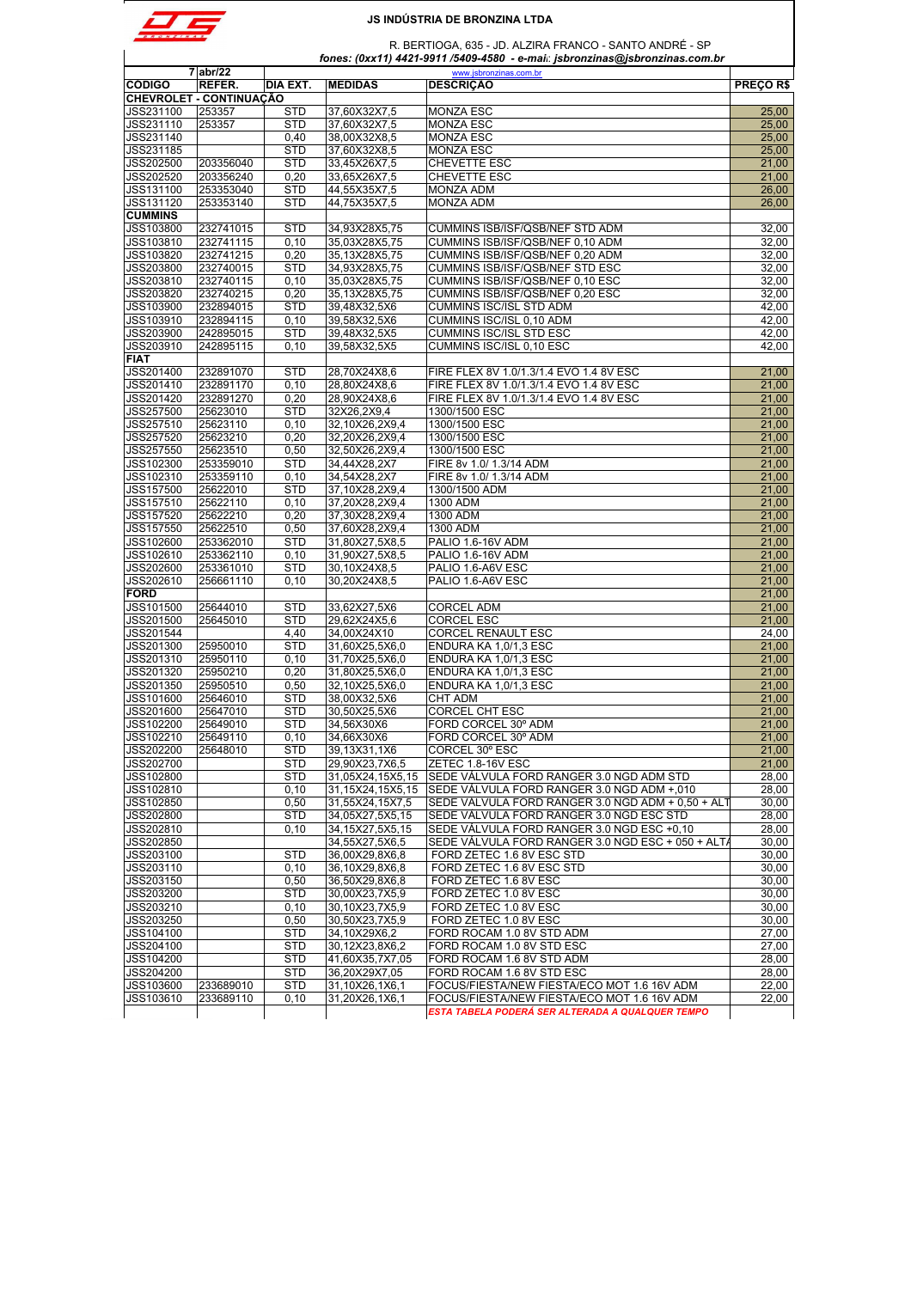

 $\overline{\phantom{a}}$ 

### **JS INDÚSTRIA DE BRONZINA LTDA**

|                                | $7$ abr/22           |                          |                                | www.jsbronzinas.com.br                                              |                |
|--------------------------------|----------------------|--------------------------|--------------------------------|---------------------------------------------------------------------|----------------|
| <b>CÓDIGO</b>                  | REFER.               | DIA EXT.                 | <b>MEDIDAS</b>                 | <b>DESCRIÇÃO</b>                                                    | PRECOR\$       |
| <b>CHEVROLET - CONTINUAÇÃO</b> |                      |                          |                                |                                                                     |                |
| JSS231100                      | 253357               | <b>STD</b>               | 37,60X32X7,5                   | <b>MONZA ESC</b>                                                    | 25,00          |
| JSS231110                      | 253357               | <b>STD</b>               | 37,60X32X7,5                   | <b>MONZA ESC</b>                                                    | 25,00          |
| JSS231140                      |                      | 0,40                     | 38,00X32X8,5                   | <b>MONZA ESC</b>                                                    | 25,00          |
| JSS231185                      |                      | <b>STD</b>               | 37,60X32X8,5                   | <b>MONZA ESC</b>                                                    | 25,00          |
| JSS202500                      | 203356040            | <b>STD</b>               | 33,45X26X7,5                   | CHEVETTE ESC                                                        | 21,00          |
| JSS202520                      | 203356240            | 0,20                     | 33,65X26X7,5                   | CHEVETTE ESC                                                        | 21,00          |
| JSS131100                      | 253353040            | <b>STD</b>               | 44,55X35X7,5                   | <b>MONZA ADM</b>                                                    | 26,00          |
| JSS131120                      | 253353140            | <b>STD</b>               | 44,75X35X7,5                   | MONZA ADM                                                           | 26,00          |
| <b>CUMMINS</b>                 | 232741015            |                          |                                |                                                                     |                |
| JSS103800                      | 232741115            | <b>STD</b>               | 34,93X28X5,75<br>35,03X28X5,75 | CUMMINS ISB/ISF/QSB/NEF STD ADM<br>CUMMINS ISB/ISF/QSB/NEF 0,10 ADM | 32,00<br>32.00 |
| JSS103810<br>JSS103820         | 232741215            | 0, 10<br>0,20            | 35,13X28X5,75                  | CUMMINS ISB/ISF/QSB/NEF 0,20 ADM                                    | 32,00          |
| JSS203800                      | 232740015            | <b>STD</b>               | 34,93X28X5,75                  | CUMMINS ISB/ISF/QSB/NEF STD ESC                                     | 32,00          |
| JSS203810                      | 232740115            | 0,10                     | 35,03X28X5,75                  | CUMMINS ISB/ISF/QSB/NEF 0,10 ESC                                    | 32,00          |
| JSS203820                      | 232740215            | 0,20                     | 35,13X28X5,75                  | CUMMINS ISB/ISF/QSB/NEF 0,20 ESC                                    | 32,00          |
| JSS103900                      | 232894015            | <b>STD</b>               | 39,48X32,5X6                   | CUMMINS ISC/ISL STD ADM                                             | 42,00          |
| JSS103910                      | 232894115            | 0, 10                    | 39,58X32,5X6                   | CUMMINS ISC/ISL 0,10 ADM                                            | 42,00          |
| JSS203900                      | 242895015            | <b>STD</b>               | 39,48X32,5X5                   | <b>CUMMINS ISC/ISL STD ESC</b>                                      | 42,00          |
| JSS203910                      | 242895115            | 0.10                     | 39,58X32,5X5                   | CUMMINS ISC/ISL 0,10 ESC                                            | 42,00          |
| <b>FIAT</b>                    |                      |                          |                                |                                                                     |                |
| JSS201400                      | 232891070            | <b>STD</b>               | 28,70X24X8,6                   | FIRE FLEX 8V 1.0/1.3/1.4 EVO 1.4 8V ESC                             | 21,00          |
| JSS201410                      | 232891170            | 0, 10                    | 28,80X24X8,6                   | FIRE FLEX 8V 1.0/1.3/1.4 EVO 1.4 8V ESC                             | 21,00          |
| JSS201420                      | 232891270            | 0,20                     | 28,90X24X8,6                   | FIRE FLEX 8V 1.0/1.3/1.4 EVO 1.4 8V ESC                             | 21,00          |
| JSS257500                      | 25623010             | <b>STD</b>               | 32X26,2X9,4                    | 1300/1500 ESC                                                       | 21.00          |
| <b>JSS257510</b>               | 25623110             | 0, 10                    | 32,10X26,2X9,4                 | 1300/1500 ESC                                                       | 21,00          |
| JSS257520                      | 25623210             | 0.20                     | 32,20X26,2X9,4                 | 1300/1500 ESC                                                       | 21,00          |
| JSS257550                      | 25623510             | 0,50                     | 32,50X26,2X9,4                 | 1300/1500 ESC                                                       | 21,00          |
| JSS102300                      | 253359010            | <b>STD</b>               | 34,44X28,2X7                   | FIRE 8v 1.0/ 1.3/14 ADM                                             | 21,00          |
| JSS102310                      | 253359110            | 0, 10                    | 34,54X28,2X7                   | FIRE 8v 1.0/ 1.3/14 ADM                                             | 21,00          |
| JSS157500                      | 25622010             | <b>STD</b>               | 37,10X28,2X9,4                 | 1300/1500 ADM                                                       | 21,00          |
| <b>JSS157510</b>               | 25622110             | 0,10                     | 37.20X28.2X9.4                 | 1300 ADM                                                            | 21,00          |
| JSS157520                      | 25622210             | 0,20                     | 37,30X28,2X9,4                 | 1300 ADM                                                            | 21,00          |
| JSS157550                      | 25622510             | 0,50                     | 37,60X28,2X9,4                 | 1300 ADM                                                            | 21,00          |
| JSS102600                      | 253362010            | <b>STD</b>               | 31,80X27,5X8,5                 | PALIO 1.6-16V ADM                                                   | 21,00          |
| JSS102610                      | 253362110            | 0, 10                    | 31,90X27,5X8,5                 | PALIO 1.6-16V ADM                                                   | 21,00          |
| JSS202600                      | 253361010            | <b>STD</b>               | 30,10X24X8,5                   | PALIO 1.6-A6V ESC                                                   | 21,00          |
| JSS202610                      | 256661110            | 0, 10                    | 30,20X24X8,5                   | PALIO 1.6-A6V ESC                                                   | 21,00          |
| <b>FORD</b>                    |                      |                          |                                |                                                                     | 21,00          |
| JSS101500                      | 25644010             | <b>STD</b>               | 33,62X27,5X6                   | <b>CORCEL ADM</b>                                                   | 21,00          |
| JSS201500                      | 25645010             | <b>STD</b>               | 29,62X24X5,6                   | <b>CORCEL ESC</b>                                                   | 21,00          |
| JSS201544                      |                      | 4,40                     | 34,00X24X10                    | CORCEL RENAULT ESC                                                  | 24,00          |
| JSS201300                      | 25950010             | <b>STD</b>               | 31,60X25,5X6,0                 | ENDURA KA 1,0/1,3 ESC                                               | 21,00          |
| JSS201310                      | 25950110             | 0, 10                    | 31,70X25,5X6,0                 | ENDURA KA 1,0/1,3 ESC                                               | 21,00          |
| JSS201320                      | 25950210             | 0,20                     | 31,80X25,5X6,0                 | ENDURA KA 1,0/1,3 ESC                                               | 21,00          |
| JSS201350                      | 25950510             | 0,50                     | 32,10X25,5X6,0                 | ENDURA KA 1,0/1,3 ESC                                               | 21,00          |
| JSS101600                      | 25646010             | <b>STD</b>               | 38,00X32,5X6                   | CHT ADM                                                             | 21,00          |
| <b>JSS201600</b><br>JSS102200  | 25647010<br>25649010 | <b>STD</b><br><b>STD</b> | 30,50X25,5X6<br>34,56X30X6     | <b>CORCEL CHT ESC</b><br>FORD CORCEL 30° ADM                        | 21,00<br>21,00 |
| JSS102210                      | 25649110             | 0, 10                    | 34,66X30X6                     | FORD CORCEL 30° ADM                                                 | 21,00          |
| JSS202200                      | 25648010             | <b>STD</b>               | 39,13X31,1X6                   | CORCEL 30° ESC                                                      | 21,00          |
| JSS202700                      |                      | <b>STD</b>               | 29,90X23,7X6,5                 | ZETEC 1.8-16V ESC                                                   | 21,00          |
| JSS102800                      |                      | STD                      | 31.05X24.15X5.15               | SEDE VÁLVULA FORD RANGER 3.0 NGD ADM STD                            | 28.00          |
| JSS102810                      |                      | 0, 10                    | 31,15X24,15X5,15               | SEDE VÁLVULA FORD RANGER 3.0 NGD ADM +,010                          | 28,00          |
| JSS102850                      |                      | 0,50                     | 31,55X24,15X7,5                | SEDE VÁLVULA FORD RANGER 3.0 NGD ADM + 0,50 + AL                    | 30,00          |
| JSS202800                      |                      | STD                      | 34,05X27,5X5,15                | SEDE VÁLVULA FORD RANGER 3.0 NGD ESC STD                            | 28,00          |
| JSS202810                      |                      | 0,10                     | 34,15X27,5X5,15                | SEDE VALVULA FORD RANGER 3.0 NGD ESC +0,10                          | 28,00          |
| JSS202850                      |                      |                          | 34.55X27.5X6.5                 | SEDE VÁLVULA FORD RANGER 3.0 NGD ESC + 050 + ALT/                   | 30,00          |
| JSS203100                      |                      | <b>STD</b>               | 36,00X29,8X6,8                 | FORD ZETEC 1.6 8V ESC STD                                           | 30,00          |
| JSS203110                      |                      | 0, 10                    | 36,10X29,8X6,8                 | FORD ZETEC 1.6 8V ESC STD                                           | 30,00          |
| JSS203150                      |                      | 0,50                     | 36,50X29,8X6,8                 | FORD ZETEC 1.6 8V ESC                                               | 30,00          |
| JSS203200                      |                      | <b>STD</b>               | 30,00X23,7X5,9                 | FORD ZETEC 1.0 8V ESC                                               | 30,00          |
| JSS203210                      |                      | 0, 10                    | 30,10X23,7X5,9                 | FORD ZETEC 1.0 8V ESC                                               | 30,00          |
| JSS203250                      |                      | 0,50                     | 30,50X23,7X5,9                 | FORD ZETEC 1.0 8V ESC                                               | 30,00          |
| JSS104100                      |                      | <b>STD</b>               | 34,10X29X6,2                   | FORD ROCAM 1.0 8V STD ADM                                           | 27,00          |
| JSS204100                      |                      | STD                      | 30,12X23,8X6,2                 | FORD ROCAM 1.0 8V STD ESC                                           | 27,00          |
| JSS104200                      |                      | <b>STD</b>               | 41,60X35,7X7,05                | FORD ROCAM 1.6 8V STD ADM                                           | 28,00          |
| JSS204200                      |                      | <b>STD</b>               | 36,20X29X7,05                  | FORD ROCAM 1.6 8V STD ESC                                           | 28,00          |
| JSS103600                      | 233689010            | <b>STD</b>               | 31,10X26,1X6,1                 | FOCUS/FIESTA/NEW FIESTA/ECO MOT 1.6 16V ADM                         | 22,00          |
| JSS103610                      | 233689110            | 0,10                     | 31,20X26,1X6,1                 | FOCUS/FIESTA/NEW FIESTA/ECO MOT 1.6 16V ADM                         | 22,00          |
|                                |                      |                          |                                | ESTA TABELA PODERÁ SER ALTERADA A QUALQUER TEMPO                    |                |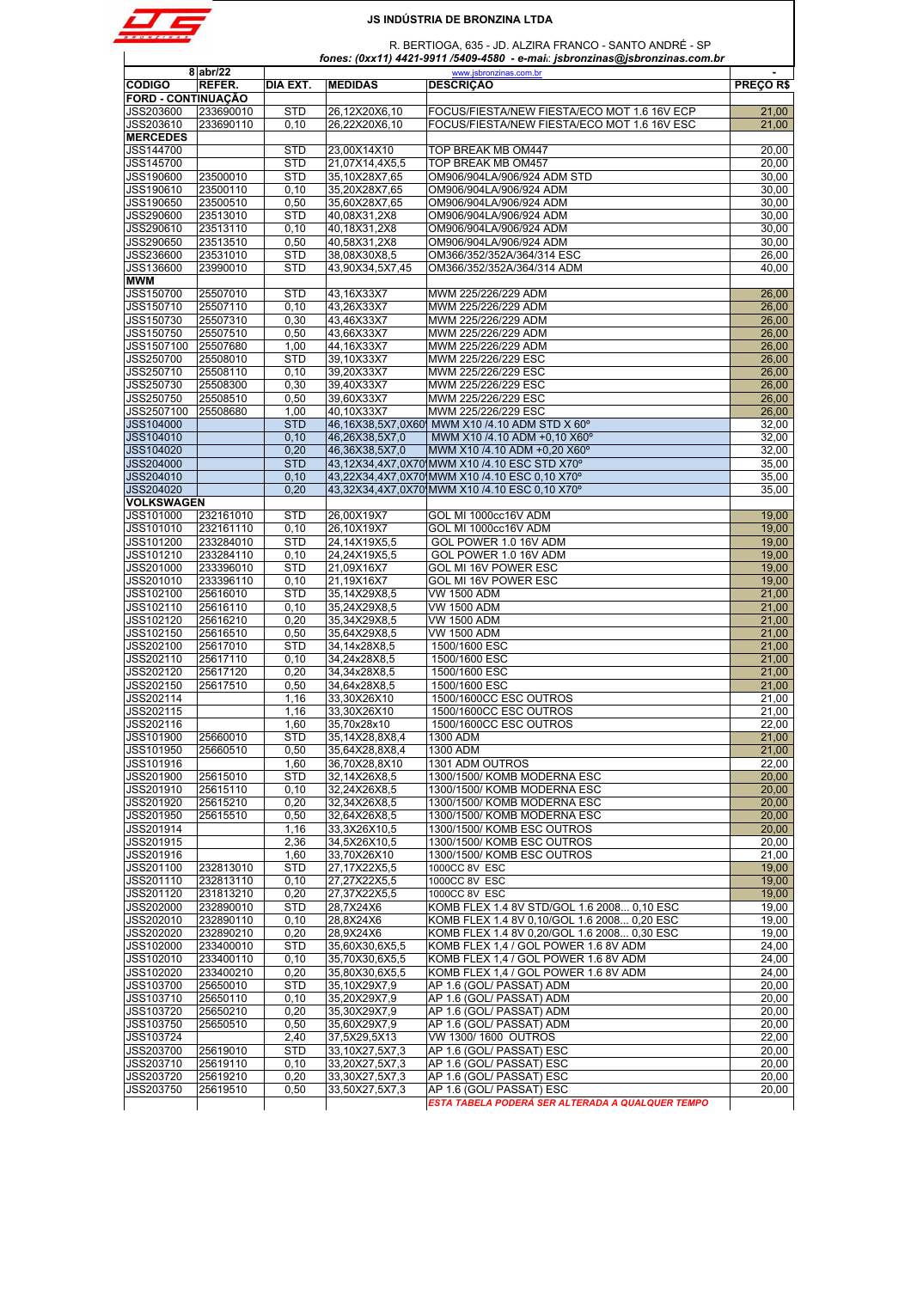

|                           | 8 abr/22  |            |                 | www.jsbronzinas.com.br                           | $\blacksquare$ |
|---------------------------|-----------|------------|-----------------|--------------------------------------------------|----------------|
| <b>CÓDIGO</b>             | REFER.    | DIA EXT.   | <b>MEDIDAS</b>  | <b>DESCRIÇÃO</b>                                 | PRECOR\$       |
| <b>FORD - CONTINUAÇÃO</b> |           |            |                 |                                                  |                |
| JSS203600                 | 233690010 | <b>STD</b> | 26,12X20X6,10   | FOCUS/FIESTA/NEW FIESTA/ECO MOT 1.6 16V ECP      | 21,00          |
| JSS203610                 | 233690110 | 0, 10      | 26,22X20X6,10   | FOCUS/FIESTA/NEW FIESTA/ECO MOT 1.6 16V ESC      | 21,00          |
| <b>MERCEDES</b>           |           |            |                 |                                                  |                |
| JSS144700                 |           | <b>STD</b> | 23,00X14X10     | <b>TOP BREAK MB OM447</b>                        | 20,00          |
| JSS145700                 |           | <b>STD</b> | 21,07X14,4X5,5  | TOP BREAK MB OM457                               | 20,00          |
|                           |           |            |                 |                                                  |                |
| JSS190600                 | 23500010  | <b>STD</b> | 35,10X28X7,65   | OM906/904LA/906/924 ADM STD                      | 30,00          |
| JSS190610                 | 23500110  | 0, 10      | 35,20X28X7,65   | OM906/904LA/906/924 ADM                          | 30,00          |
| JSS190650                 | 23500510  | 0,50       | 35,60X28X7,65   | OM906/904LA/906/924 ADM                          | 30,00          |
| JSS290600                 | 23513010  | <b>STD</b> | 40,08X31,2X8    | OM906/904LA/906/924 ADM                          | 30,00          |
| JSS290610                 | 23513110  | 0, 10      | 40,18X31,2X8    | OM906/904LA/906/924 ADM                          | 30,00          |
| JSS290650                 | 23513510  | 0,50       | 40,58X31,2X8    | OM906/904LA/906/924 ADM                          | 30,00          |
| JSS236600                 | 23531010  | <b>STD</b> | 38,08X30X8,5    | OM366/352/352A/364/314 ESC                       | 26,00          |
| JSS136600                 | 23990010  | <b>STD</b> | 43,90X34,5X7,45 | OM366/352/352A/364/314 ADM                       | 40.00          |
| <b>MWM</b>                |           |            |                 |                                                  |                |
| JSS150700                 | 25507010  | <b>STD</b> | 43,16X33X7      | MWM 225/226/229 ADM                              | 26,00          |
| JSS150710                 | 25507110  | 0, 10      | 43,26X33X7      | MWM 225/226/229 ADM                              | 26,00          |
| JSS150730                 | 25507310  | 0,30       | 43,46X33X7      | MWM 225/226/229 ADM                              | 26,00          |
| JSS150750                 | 25507510  | 0,50       | 43,66X33X7      | MWM 225/226/229 ADM                              | 26,00          |
| JSS1507100                | 25507680  | 1,00       | 44,16X33X7      | MWM 225/226/229 ADM                              | 26,00          |
|                           |           |            |                 |                                                  |                |
| JSS250700                 | 25508010  | <b>STD</b> | 39,10X33X7      | MWM 225/226/229 ESC                              | 26,00          |
| JSS250710                 | 25508110  | 0, 10      | 39,20X33X7      | MWM 225/226/229 ESC                              | 26.00          |
| JSS250730                 | 25508300  | 0,30       | 39,40X33X7      | MWM 225/226/229 ESC                              | 26,00          |
| JSS250750                 | 25508510  | 0,50       | 39,60X33X7      | MWM 225/226/229 ESC                              | 26,00          |
| JSS2507100                | 25508680  | 1,00       | 40,10X33X7      | MWM 225/226/229 ESC                              | 26,00          |
| JSS104000                 |           | <b>STD</b> |                 | 46,16X38,5X7,0X60 MWM X10 /4.10 ADM STD X 60°    | 32,00          |
| JSS104010                 |           | 0, 10      | 46,26X38,5X7,0  | MWM X10 /4.10 ADM +0,10 X60°                     | 32,00          |
| JSS104020                 |           | 0,20       | 46,36X38,5X7,0  | MWM X10 /4.10 ADM +0,20 X60°                     | 32,00          |
| <b>JSS204000</b>          |           | <b>STD</b> |                 | 43,12X34,4X7,0X70 MWM X10 /4.10 ESC STD X70°     | 35,00          |
| JSS204010                 |           | 0,10       |                 | 43,22X34,4X7,0X70 MWM X10 /4.10 ESC 0,10 X70°    | 35,00          |
| JSS204020                 |           | 0,20       |                 | 43,32X34,4X7,0X70 MWM X10 /4.10 ESC 0,10 X70°    | 35,00          |
| <b>VOLKSWAGEN</b>         |           |            |                 |                                                  |                |
| JSS101000                 | 232161010 | <b>STD</b> | 26,00X19X7      | GOL MI 1000cc16V ADM                             | 19,00          |
| JSS101010                 | 232161110 | 0, 10      | 26,10X19X7      | GOL MI 1000cc16V ADM                             | 19,00          |
| JSS101200                 | 233284010 | <b>STD</b> |                 | GOL POWER 1.0 16V ADM                            | 19,00          |
|                           |           |            | 24,14X19X5,5    |                                                  |                |
| JSS101210                 | 233284110 | 0, 10      | 24,24X19X5,5    | GOL POWER 1.0 16V ADM                            | 19,00          |
| JSS201000                 | 233396010 | <b>STD</b> | 21,09X16X7      | GOL MI 16V POWER ESC                             | 19,00          |
| JSS201010                 | 233396110 | 0,10       | 21,19X16X7      | GOL MI 16V POWER ESC                             | 19,00          |
| JSS102100                 | 25616010  | <b>STD</b> | 35,14X29X8,5    | VW 1500 ADM                                      | 21,00          |
| JSS102110                 | 25616110  | 0, 10      | 35,24X29X8,5    | VW 1500 ADM                                      | 21,00          |
| JSS102120                 | 25616210  | 0,20       | 35,34X29X8,5    | <b>VW 1500 ADM</b>                               | 21,00          |
| JSS102150                 | 25616510  | 0,50       | 35,64X29X8,5    | VW 1500 ADM                                      | 21,00          |
| JSS202100                 | 25617010  | <b>STD</b> | 34,14x28X8,5    | 1500/1600 ESC                                    | 21,00          |
| JSS202110                 | 25617110  | 0, 10      | 34,24x28X8,5    | 1500/1600 ESC                                    | 21,00          |
| JSS202120                 | 25617120  | 0,20       | 34,34x28X8,5    | 1500/1600 ESC                                    | 21,00          |
| JSS202150                 | 25617510  | 0,50       | 34,64x28X8,5    | 1500/1600 ESC                                    | 21,00          |
| JSS202114                 |           | 1,16       | 33,30X26X10     | 1500/1600CC ESC OUTROS                           | 21,00          |
| JSS202115                 |           | 1,16       | 33,30X26X10     | 1500/1600CC ESC OUTROS                           | 21,00          |
| JSS202116                 |           | 1,60       | 35,70x28x10     | 1500/1600CC ESC OUTROS                           | 22,00          |
| JSS101900                 | 25660010  | <b>STD</b> | 35,14X28,8X8,4  | 1300 ADM                                         | 21,00          |
|                           |           |            | 35,64X28,8X8,4  |                                                  | 21,00          |
| JSS101950                 | 25660510  | 0,50       |                 | 1300 ADM                                         |                |
| JSS101916                 |           | 1,60       | 36,70X28,8X10   | 1301 ADM OUTROS                                  | 22,00          |
| JSS201900                 | 25615010  | <b>STD</b> | 32,14X26X8,5    | 1300/1500/ KOMB MODERNA ESC                      | 20.00          |
| JSS201910                 | 25615110  | 0,10       | 32,24X26X8,5    | 1300/1500/ KOMB MODERNA ESC                      | 20,00          |
| JSS201920                 | 25615210  | 0.20       | 32,34X26X8,5    | 1300/1500/ KOMB MODERNA ESC                      | 20,00          |
| JSS201950                 | 25615510  | 0,50       | 32,64X26X8,5    | 1300/1500/ KOMB MODERNA ESC                      | 20,00          |
| JSS201914                 |           | 1,16       | 33,3X26X10,5    | 1300/1500/ KOMB ESC OUTROS                       | 20,00          |
| JSS201915                 |           | 2,36       | 34,5X26X10,5    | 1300/1500/ KOMB ESC OUTROS                       | 20.00          |
| JSS201916                 |           | 1,60       | 33,70X26X10     | 1300/1500/ KOMB ESC OUTROS                       | 21,00          |
| JSS201100                 | 232813010 | <b>STD</b> | 27,17X22X5,5    | 1000CC 8V ESC                                    | 19,00          |
| JSS201110                 | 232813110 | 0, 10      | 27,27X22X5,5    | 1000CC 8V ESC                                    | 19,00          |
| JSS201120                 | 231813210 | 0,20       | 27,37X22X5,5    | 1000CC 8V ESC                                    | 19,00          |
| JSS202000                 | 232890010 | STD        | 28,7X24X6       | KOMB FLEX 1.4 8V STD/GOL 1.6 2008 0,10 ESC       | 19,00          |
| JSS202010                 | 232890110 | 0, 10      | 28,8X24X6       | KOMB FLEX 1.4 8V 0,10/GOL 1.6 2008 0,20 ESC      | 19,00          |
| JSS202020                 | 232890210 | 0,20       | 28,9X24X6       | KOMB FLEX 1.4 8V 0,20/GOL 1.6 2008 0,30 ESC      | 19,00          |
| JSS102000                 | 233400010 | <b>STD</b> | 35,60X30,6X5,5  | KOMB FLEX 1,4 / GOL POWER 1.6 8V ADM             | 24,00          |
| JSS102010                 | 233400110 | 0,10       | 35,70X30,6X5,5  | KOMB FLEX 1,4 / GOL POWER 1.6 8V ADM             | 24,00          |
|                           |           | 0,20       |                 |                                                  | 24,00          |
| JSS102020                 | 233400210 |            | 35,80X30,6X5,5  | KOMB FLEX 1,4 / GOL POWER 1.6 8V ADM             |                |
| JSS103700                 | 25650010  | <b>STD</b> | 35,10X29X7,9    | AP 1.6 (GOL/ PASSAT) ADM                         | 20,00          |
| JSS103710                 | 25650110  | 0, 10      | 35,20X29X7,9    | AP 1.6 (GOL/ PASSAT) ADM                         | 20,00          |
| JSS103720                 | 25650210  | 0,20       | 35,30X29X7,9    | AP 1.6 (GOL/ PASSAT) ADM                         | 20,00          |
| JSS103750                 | 25650510  | 0,50       | 35,60X29X7,9    | AP 1.6 (GOL/ PASSAT) ADM                         | 20,00          |
| JSS103724                 |           | 2,40       | 37,5X29,5X13    | VW 1300/1600 OUTROS                              | 22,00          |
| JSS203700                 | 25619010  | <b>STD</b> | 33,10X27,5X7,3  | AP 1.6 (GOL/ PASSAT) ESC                         | 20,00          |
| JSS203710                 | 25619110  | 0, 10      | 33,20X27,5X7,3  | AP 1.6 (GOL/ PASSAT) ESC                         | 20,00          |
| JSS203720                 | 25619210  | 0,20       | 33,30X27,5X7,3  | AP 1.6 (GOL/ PASSAT) ESC                         | 20,00          |
| JSS203750                 | 25619510  | 0,50       | 33,50X27,5X7,3  | AP 1.6 (GOL/ PASSAT) ESC                         | 20,00          |
|                           |           |            |                 | ESTA TABELA PODERÁ SER ALTERADA A QUALQUER TEMPO |                |
|                           |           |            |                 |                                                  |                |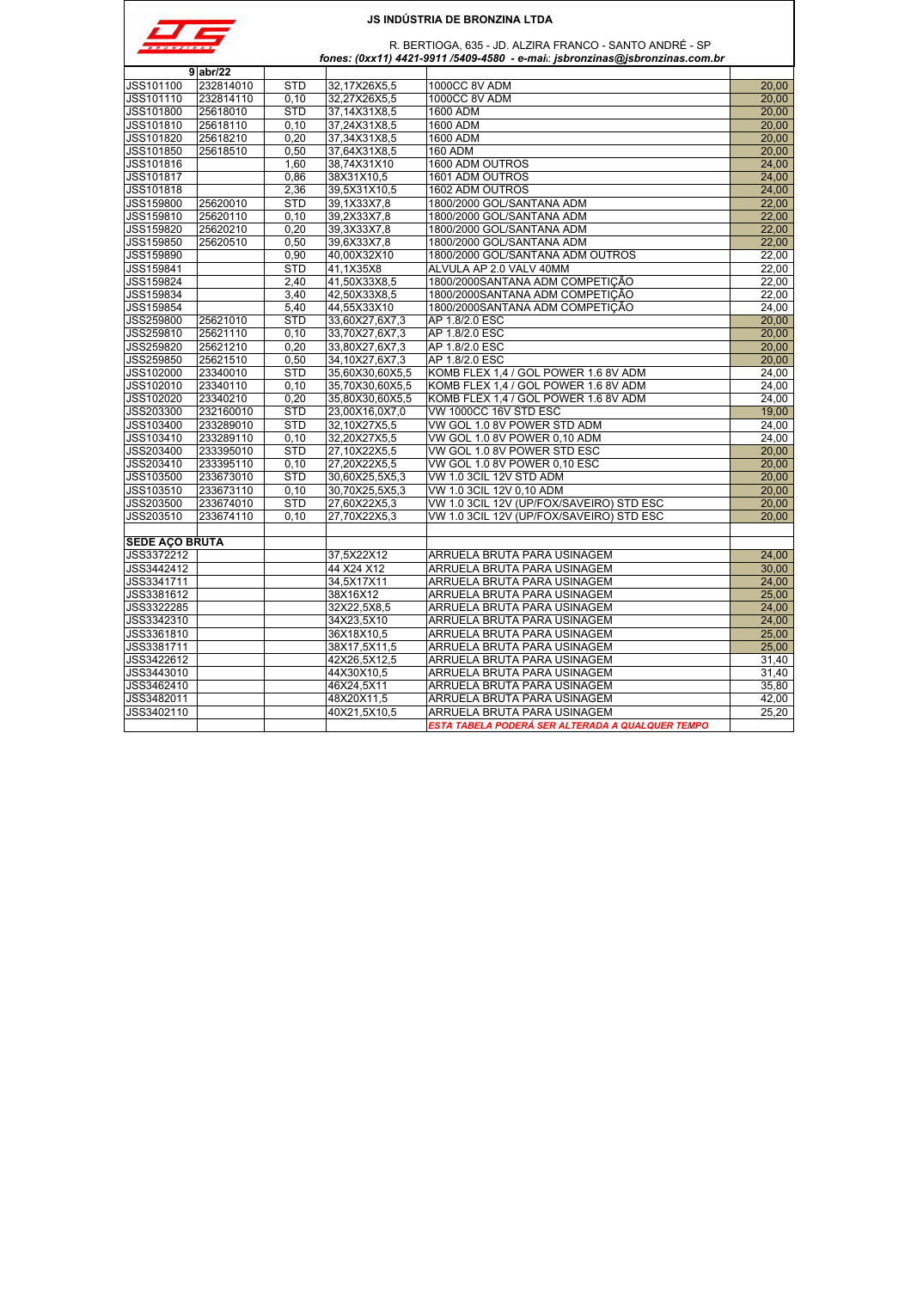

| $\sim$<br>N A S | R. BERTIOGA, 635 - JD. ALZIRA FRANCO - SANTO ANDRÉ - SP                     |
|-----------------|-----------------------------------------------------------------------------|
|                 | fones: (0xx11) 4421-9911 /5409-4580 - e-mai: jsbronzinas@jsbronzinas.com.br |

|                       | $9$ abr/22 |            |                 |                                                  |       |
|-----------------------|------------|------------|-----------------|--------------------------------------------------|-------|
| <b>JSS101100</b>      | 232814010  | <b>STD</b> | 32.17X26X5.5    | 1000CC 8V ADM                                    | 20,00 |
| JSS101110             | 232814110  | 0.10       | 32,27X26X5,5    | 1000CC 8V ADM                                    | 20,00 |
| JSS101800             | 25618010   | <b>STD</b> | 37,14X31X8,5    | 1600 ADM                                         | 20,00 |
| JSS101810             | 25618110   | 0, 10      | 37,24X31X8,5    | 1600 ADM                                         | 20,00 |
| JSS101820             | 25618210   | 0,20       | 37,34X31X8,5    | 1600 ADM                                         | 20,00 |
| <b>JSS101850</b>      | 25618510   | 0.50       | 37,64X31X8,5    | <b>160 ADM</b>                                   | 20.00 |
| JSS101816             |            | 1,60       | 38,74X31X10     | 1600 ADM OUTROS                                  | 24,00 |
| JSS101817             |            | 0,86       | 38X31X10,5      | 1601 ADM OUTROS                                  | 24,00 |
| JSS101818             |            | 2,36       | 39,5X31X10,5    | 1602 ADM OUTROS                                  | 24,00 |
| <b>JSS159800</b>      | 25620010   | <b>STD</b> | 39,1X33X7,8     | 1800/2000 GOL/SANTANA ADM                        | 22.00 |
| JSS159810             | 25620110   | 0.10       | 39,2X33X7,8     | 1800/2000 GOL/SANTANA ADM                        | 22.00 |
| JSS159820             | 25620210   | 0,20       | 39,3X33X7,8     | 1800/2000 GOL/SANTANA ADM                        | 22,00 |
| JSS159850             | 25620510   | 0.50       | 39,6X33X7,8     | 1800/2000 GOL/SANTANA ADM                        | 22,00 |
| JSS159890             |            | 0,90       | 40,00X32X10     | 1800/2000 GOL/SANTANA ADM OUTROS                 | 22,00 |
| JSS159841             |            | <b>STD</b> | 41.1X35X8       | ALVULA AP 2.0 VALV 40MM                          | 22,00 |
| JSS159824             |            | 2,40       | 41,50X33X8,5    | 1800/2000SANTANA ADM COMPETIÇÃO                  | 22,00 |
| <b>JSS159834</b>      |            | 3,40       | 42,50X33X8,5    | 1800/2000SANTANA ADM COMPETIÇÃO                  | 22,00 |
| JSS159854             |            | 5,40       | 44,55X33X10     | 1800/2000SANTANA ADM COMPETICÃO                  | 24,00 |
| JSS259800             | 25621010   | <b>STD</b> | 33.60X27.6X7.3  | AP 1.8/2.0 ESC                                   | 20.00 |
| JSS259810             | 25621110   | 0, 10      | 33,70X27,6X7,3  | AP 1.8/2.0 ESC                                   | 20,00 |
| JSS259820             | 25621210   | 0,20       | 33,80X27,6X7,3  | AP 1.8/2.0 ESC                                   | 20,00 |
| JSS259850             | 25621510   | 0,50       | 34,10X27,6X7,3  | AP 1.8/2.0 ESC                                   | 20,00 |
| JSS102000             | 23340010   | <b>STD</b> | 35,60X30,60X5,5 | KOMB FLEX 1,4 / GOL POWER 1.6 8V ADM             | 24,00 |
| JSS102010             | 23340110   | 0, 10      | 35,70X30,60X5,5 | KOMB FLEX 1,4 / GOL POWER 1.6 8V ADM             | 24,00 |
| JSS102020             | 23340210   | 0,20       | 35,80X30,60X5,5 | KOMB FLEX 1,4 / GOL POWER 1.6 8V ADM             | 24.00 |
| JSS203300             | 232160010  | <b>STD</b> | 23.00X16.0X7.0  | <b>VW 1000CC 16V STD ESC</b>                     | 19.00 |
| JSS103400             | 233289010  | <b>STD</b> | 32,10X27X5,5    | VW GOL 1.0 8V POWER STD ADM                      | 24.00 |
| JSS103410             | 233289110  | 0.10       | 32.20X27X5.5    | VW GOL 1.0 8V POWER 0.10 ADM                     | 24.00 |
| JSS203400             | 233395010  | <b>STD</b> | 27,10X22X5,5    | VW GOL 1.0 8V POWER STD ESC                      | 20,00 |
| JSS203410             | 233395110  | 0.10       | 27.20X22X5.5    | VW GOL 1.0 8V POWER 0,10 ESC                     | 20,00 |
| JSS103500             | 233673010  | <b>STD</b> | 30,60X25,5X5,3  | VW 1.0 3CIL 12V STD ADM                          | 20,00 |
| JSS103510             | 233673110  | 0.10       | 30.70X25.5X5.3  | VW 1.0 3CIL 12V 0.10 ADM                         | 20.00 |
| JSS203500             | 233674010  | <b>STD</b> | 27,60X22X5,3    | VW 1.0 3CIL 12V (UP/FOX/SAVEIRO) STD ESC         | 20,00 |
| JSS203510             | 233674110  | 0.10       | 27,70X22X5,3    | VW 1.0 3CIL 12V (UP/FOX/SAVEIRO) STD ESC         | 20.00 |
|                       |            |            |                 |                                                  |       |
| <b>SEDE AÇO BRUTA</b> |            |            |                 |                                                  |       |
| JSS3372212            |            |            | 37,5X22X12      | ARRUELA BRUTA PARA USINAGEM                      | 24,00 |
| JSS3442412            |            |            | 44 X24 X12      | ARRUELA BRUTA PARA USINAGEM                      | 30,00 |
| JSS3341711            |            |            | 34,5X17X11      | ARRUELA BRUTA PARA USINAGEM                      | 24,00 |
| JSS3381612            |            |            | 38X16X12        | ARRUELA BRUTA PARA USINAGEM                      | 25.00 |
| JSS3322285            |            |            | 32X22,5X8,5     | ARRUELA BRUTA PARA USINAGEM                      | 24,00 |
| JSS3342310            |            |            | 34X23,5X10      | ARRUELA BRUTA PARA USINAGEM                      | 24,00 |
| JSS3361810            |            |            | 36X18X10,5      | ARRUELA BRUTA PARA USINAGEM                      | 25,00 |
| JSS3381711            |            |            | 38X17,5X11,5    | ARRUELA BRUTA PARA USINAGEM                      | 25,00 |
| JSS3422612            |            |            | 42X26.5X12.5    | ARRUELA BRUTA PARA USINAGEM                      | 31.40 |
| JSS3443010            |            |            | 44X30X10,5      | ARRUELA BRUTA PARA USINAGEM                      | 31,40 |
| JSS3462410            |            |            | 46X24,5X11      | ARRUELA BRUTA PARA USINAGEM                      | 35,80 |
| JSS3482011            |            |            | 48X20X11,5      | ARRUELA BRUTA PARA USINAGEM                      | 42.00 |
| JSS3402110            |            |            | 40X21.5X10.5    | ARRUELA BRUTA PARA USINAGEM                      | 25.20 |
|                       |            |            |                 | ESTA TABELA PODERÁ SER ALTERADA A QUALQUER TEMPO |       |